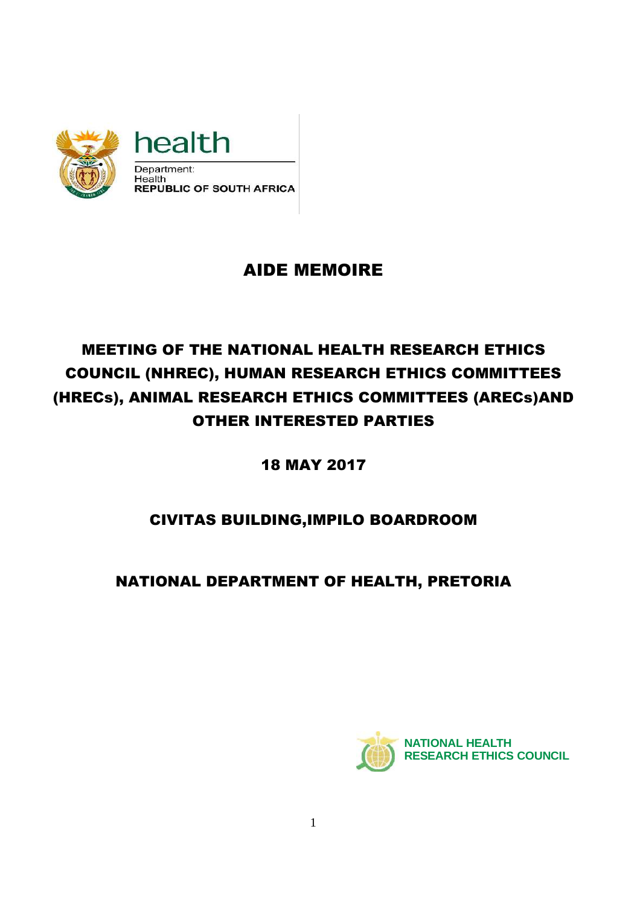

# AIDE MEMOIRE

# MEETING OF THE NATIONAL HEALTH RESEARCH ETHICS COUNCIL (NHREC), HUMAN RESEARCH ETHICS COMMITTEES (HRECs), ANIMAL RESEARCH ETHICS COMMITTEES (ARECs)AND OTHER INTERESTED PARTIES

18 MAY 2017

# CIVITAS BUILDING,IMPILO BOARDROOM

NATIONAL DEPARTMENT OF HEALTH, PRETORIA

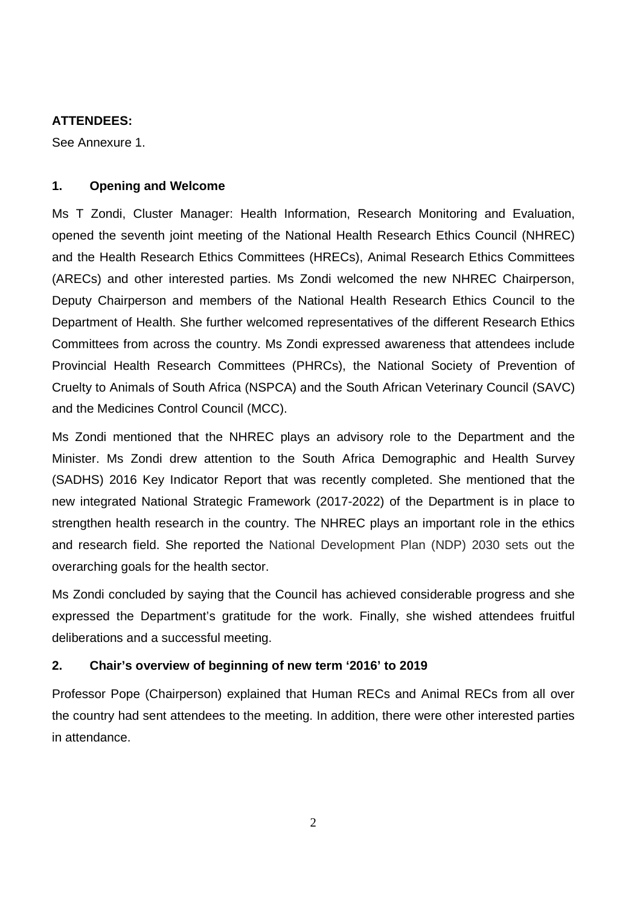#### **ATTENDEES:**

See Annexure 1.

### **1. Opening and Welcome**

Ms T Zondi, Cluster Manager: Health Information, Research Monitoring and Evaluation, opened the seventh joint meeting of the National Health Research Ethics Council (NHREC) and the Health Research Ethics Committees (HRECs), Animal Research Ethics Committees (ARECs) and other interested parties. Ms Zondi welcomed the new NHREC Chairperson, Deputy Chairperson and members of the National Health Research Ethics Council to the Department of Health. She further welcomed representatives of the different Research Ethics Committees from across the country. Ms Zondi expressed awareness that attendees include Provincial Health Research Committees (PHRCs), the National Society of Prevention of Cruelty to Animals of South Africa (NSPCA) and the South African Veterinary Council (SAVC) and the Medicines Control Council (MCC).

Ms Zondi mentioned that the NHREC plays an advisory role to the Department and the Minister. Ms Zondi drew attention to the South Africa Demographic and Health Survey (SADHS) 2016 Key Indicator Report that was recently completed. She mentioned that the new integrated National Strategic Framework (2017-2022) of the Department is in place to strengthen health research in the country. The NHREC plays an important role in the ethics and research field. She reported the National Development Plan (NDP) 2030 sets out the overarching goals for the health sector.

Ms Zondi concluded by saying that the Council has achieved considerable progress and she expressed the Department's gratitude for the work. Finally, she wished attendees fruitful deliberations and a successful meeting.

## **2. Chair's overview of beginning of new term '2016' to 2019**

Professor Pope (Chairperson) explained that Human RECs and Animal RECs from all over the country had sent attendees to the meeting. In addition, there were other interested parties in attendance.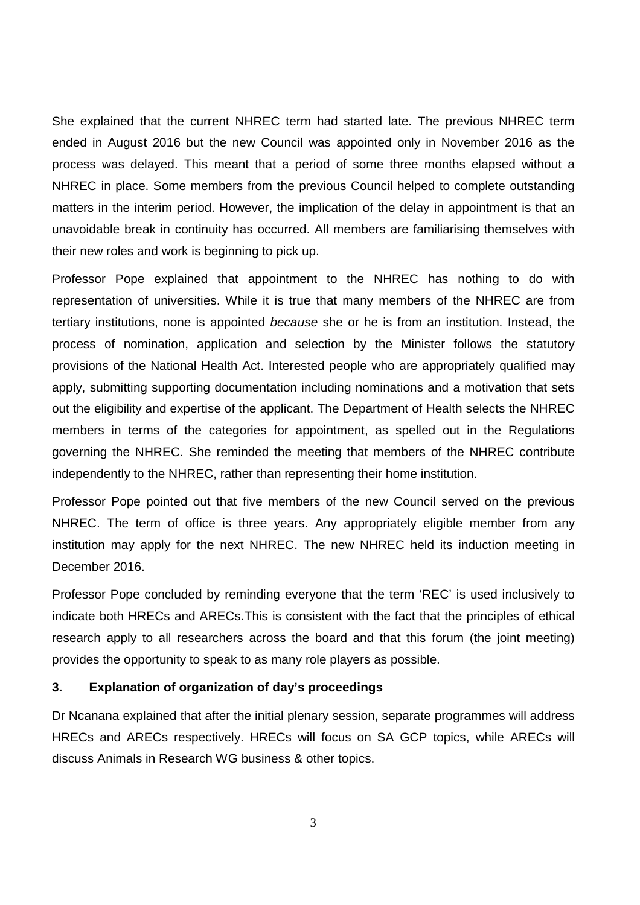She explained that the current NHREC term had started late. The previous NHREC term ended in August 2016 but the new Council was appointed only in November 2016 as the process was delayed. This meant that a period of some three months elapsed without a NHREC in place. Some members from the previous Council helped to complete outstanding matters in the interim period. However, the implication of the delay in appointment is that an unavoidable break in continuity has occurred. All members are familiarising themselves with their new roles and work is beginning to pick up.

Professor Pope explained that appointment to the NHREC has nothing to do with representation of universities. While it is true that many members of the NHREC are from tertiary institutions, none is appointed because she or he is from an institution. Instead, the process of nomination, application and selection by the Minister follows the statutory provisions of the National Health Act. Interested people who are appropriately qualified may apply, submitting supporting documentation including nominations and a motivation that sets out the eligibility and expertise of the applicant. The Department of Health selects the NHREC members in terms of the categories for appointment, as spelled out in the Regulations governing the NHREC. She reminded the meeting that members of the NHREC contribute independently to the NHREC, rather than representing their home institution.

Professor Pope pointed out that five members of the new Council served on the previous NHREC. The term of office is three years. Any appropriately eligible member from any institution may apply for the next NHREC. The new NHREC held its induction meeting in December 2016.

Professor Pope concluded by reminding everyone that the term 'REC' is used inclusively to indicate both HRECs and ARECs.This is consistent with the fact that the principles of ethical research apply to all researchers across the board and that this forum (the joint meeting) provides the opportunity to speak to as many role players as possible.

#### **3. Explanation of organization of day's proceedings**

Dr Ncanana explained that after the initial plenary session, separate programmes will address HRECs and ARECs respectively. HRECs will focus on SA GCP topics, while ARECs will discuss Animals in Research WG business & other topics.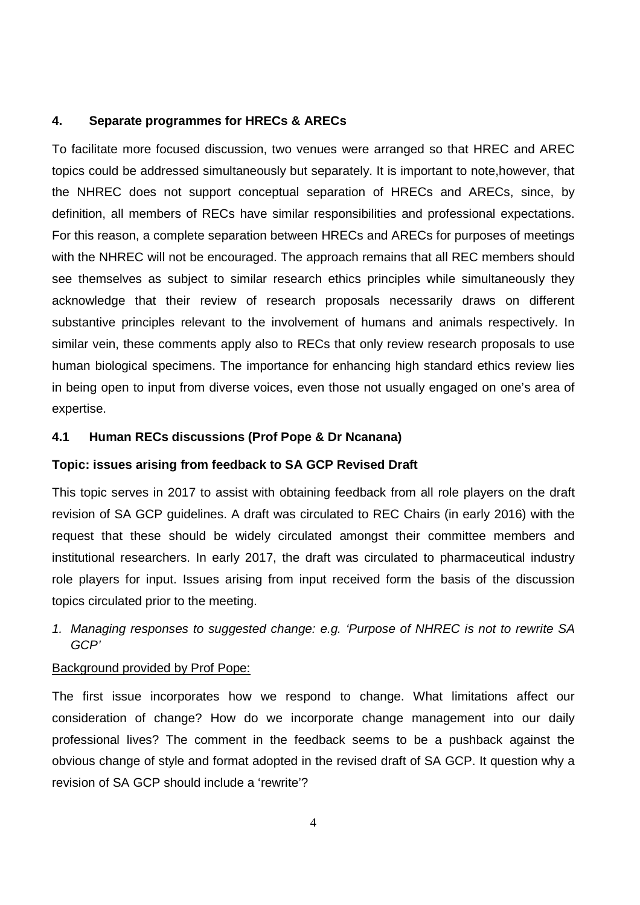#### **4. Separate programmes for HRECs & ARECs**

To facilitate more focused discussion, two venues were arranged so that HREC and AREC topics could be addressed simultaneously but separately. It is important to note,however, that the NHREC does not support conceptual separation of HRECs and ARECs, since, by definition, all members of RECs have similar responsibilities and professional expectations. For this reason, a complete separation between HRECs and ARECs for purposes of meetings with the NHREC will not be encouraged. The approach remains that all REC members should see themselves as subject to similar research ethics principles while simultaneously they acknowledge that their review of research proposals necessarily draws on different substantive principles relevant to the involvement of humans and animals respectively. In similar vein, these comments apply also to RECs that only review research proposals to use human biological specimens. The importance for enhancing high standard ethics review lies in being open to input from diverse voices, even those not usually engaged on one's area of expertise.

#### **4.1 Human RECs discussions (Prof Pope & Dr Ncanana)**

#### **Topic: issues arising from feedback to SA GCP Revised Draft**

This topic serves in 2017 to assist with obtaining feedback from all role players on the draft revision of SA GCP guidelines. A draft was circulated to REC Chairs (in early 2016) with the request that these should be widely circulated amongst their committee members and institutional researchers. In early 2017, the draft was circulated to pharmaceutical industry role players for input. Issues arising from input received form the basis of the discussion topics circulated prior to the meeting.

1. Managing responses to suggested change: e.g. 'Purpose of NHREC is not to rewrite SA GCP'

#### Background provided by Prof Pope:

The first issue incorporates how we respond to change. What limitations affect our consideration of change? How do we incorporate change management into our daily professional lives? The comment in the feedback seems to be a pushback against the obvious change of style and format adopted in the revised draft of SA GCP. It question why a revision of SA GCP should include a 'rewrite'?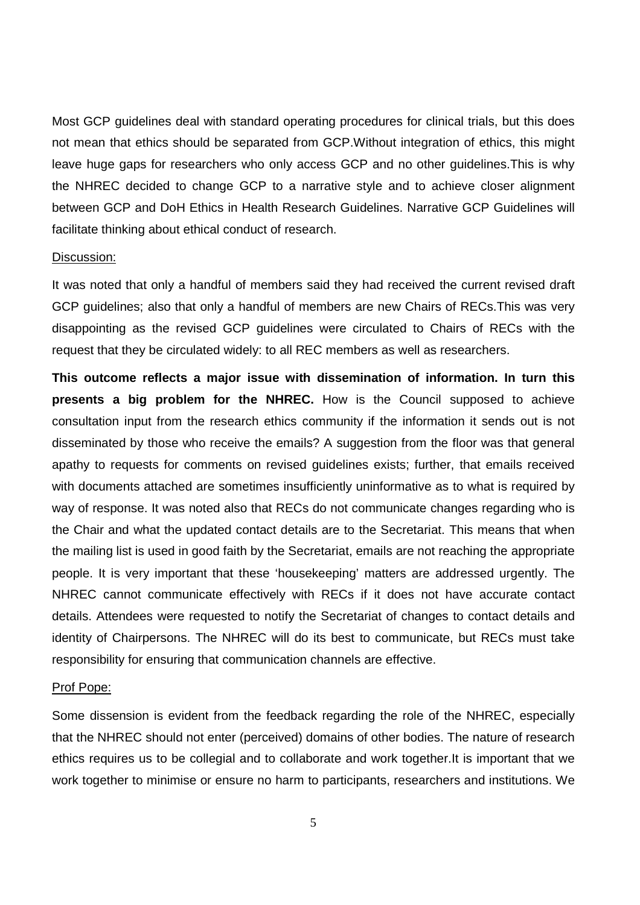Most GCP guidelines deal with standard operating procedures for clinical trials, but this does not mean that ethics should be separated from GCP.Without integration of ethics, this might leave huge gaps for researchers who only access GCP and no other guidelines.This is why the NHREC decided to change GCP to a narrative style and to achieve closer alignment between GCP and DoH Ethics in Health Research Guidelines. Narrative GCP Guidelines will facilitate thinking about ethical conduct of research.

#### Discussion:

It was noted that only a handful of members said they had received the current revised draft GCP guidelines; also that only a handful of members are new Chairs of RECs.This was very disappointing as the revised GCP guidelines were circulated to Chairs of RECs with the request that they be circulated widely: to all REC members as well as researchers.

**This outcome reflects a major issue with dissemination of information. In turn this presents a big problem for the NHREC.** How is the Council supposed to achieve consultation input from the research ethics community if the information it sends out is not disseminated by those who receive the emails? A suggestion from the floor was that general apathy to requests for comments on revised guidelines exists; further, that emails received with documents attached are sometimes insufficiently uninformative as to what is required by way of response. It was noted also that RECs do not communicate changes regarding who is the Chair and what the updated contact details are to the Secretariat. This means that when the mailing list is used in good faith by the Secretariat, emails are not reaching the appropriate people. It is very important that these 'housekeeping' matters are addressed urgently. The NHREC cannot communicate effectively with RECs if it does not have accurate contact details. Attendees were requested to notify the Secretariat of changes to contact details and identity of Chairpersons. The NHREC will do its best to communicate, but RECs must take responsibility for ensuring that communication channels are effective.

#### Prof Pope:

Some dissension is evident from the feedback regarding the role of the NHREC, especially that the NHREC should not enter (perceived) domains of other bodies. The nature of research ethics requires us to be collegial and to collaborate and work together.It is important that we work together to minimise or ensure no harm to participants, researchers and institutions. We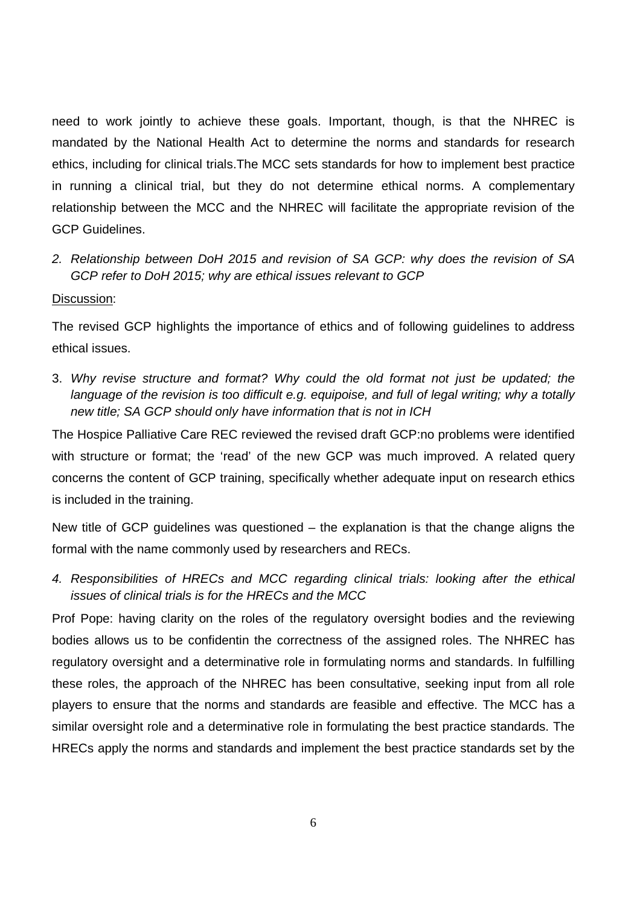need to work jointly to achieve these goals. Important, though, is that the NHREC is mandated by the National Health Act to determine the norms and standards for research ethics, including for clinical trials.The MCC sets standards for how to implement best practice in running a clinical trial, but they do not determine ethical norms. A complementary relationship between the MCC and the NHREC will facilitate the appropriate revision of the GCP Guidelines.

2. Relationship between DoH 2015 and revision of SA GCP: why does the revision of SA GCP refer to DoH 2015; why are ethical issues relevant to GCP

#### Discussion:

The revised GCP highlights the importance of ethics and of following guidelines to address ethical issues.

3. Why revise structure and format? Why could the old format not just be updated; the language of the revision is too difficult e.g. equipoise, and full of legal writing; why a totally new title; SA GCP should only have information that is not in ICH

The Hospice Palliative Care REC reviewed the revised draft GCP:no problems were identified with structure or format; the 'read' of the new GCP was much improved. A related query concerns the content of GCP training, specifically whether adequate input on research ethics is included in the training.

New title of GCP guidelines was questioned – the explanation is that the change aligns the formal with the name commonly used by researchers and RECs.

4. Responsibilities of HRECs and MCC regarding clinical trials: looking after the ethical issues of clinical trials is for the HRECs and the MCC

Prof Pope: having clarity on the roles of the regulatory oversight bodies and the reviewing bodies allows us to be confidentin the correctness of the assigned roles. The NHREC has regulatory oversight and a determinative role in formulating norms and standards. In fulfilling these roles, the approach of the NHREC has been consultative, seeking input from all role players to ensure that the norms and standards are feasible and effective. The MCC has a similar oversight role and a determinative role in formulating the best practice standards. The HRECs apply the norms and standards and implement the best practice standards set by the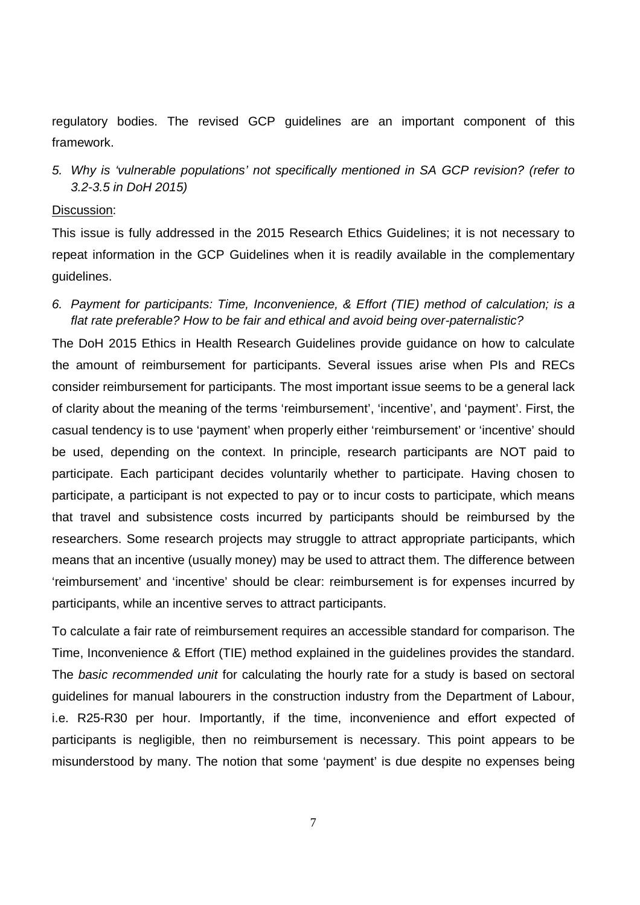regulatory bodies. The revised GCP guidelines are an important component of this framework.

5. Why is 'vulnerable populations' not specifically mentioned in SA GCP revision? (refer to 3.2-3.5 in DoH 2015)

#### Discussion:

This issue is fully addressed in the 2015 Research Ethics Guidelines; it is not necessary to repeat information in the GCP Guidelines when it is readily available in the complementary guidelines.

6. Payment for participants: Time, Inconvenience, & Effort (TIE) method of calculation; is a flat rate preferable? How to be fair and ethical and avoid being over-paternalistic?

The DoH 2015 Ethics in Health Research Guidelines provide guidance on how to calculate the amount of reimbursement for participants. Several issues arise when PIs and RECs consider reimbursement for participants. The most important issue seems to be a general lack of clarity about the meaning of the terms 'reimbursement', 'incentive', and 'payment'. First, the casual tendency is to use 'payment' when properly either 'reimbursement' or 'incentive' should be used, depending on the context. In principle, research participants are NOT paid to participate. Each participant decides voluntarily whether to participate. Having chosen to participate, a participant is not expected to pay or to incur costs to participate, which means that travel and subsistence costs incurred by participants should be reimbursed by the researchers. Some research projects may struggle to attract appropriate participants, which means that an incentive (usually money) may be used to attract them. The difference between 'reimbursement' and 'incentive' should be clear: reimbursement is for expenses incurred by participants, while an incentive serves to attract participants.

To calculate a fair rate of reimbursement requires an accessible standard for comparison. The Time, Inconvenience & Effort (TIE) method explained in the guidelines provides the standard. The basic recommended unit for calculating the hourly rate for a study is based on sectoral guidelines for manual labourers in the construction industry from the Department of Labour, i.e. R25-R30 per hour. Importantly, if the time, inconvenience and effort expected of participants is negligible, then no reimbursement is necessary. This point appears to be misunderstood by many. The notion that some 'payment' is due despite no expenses being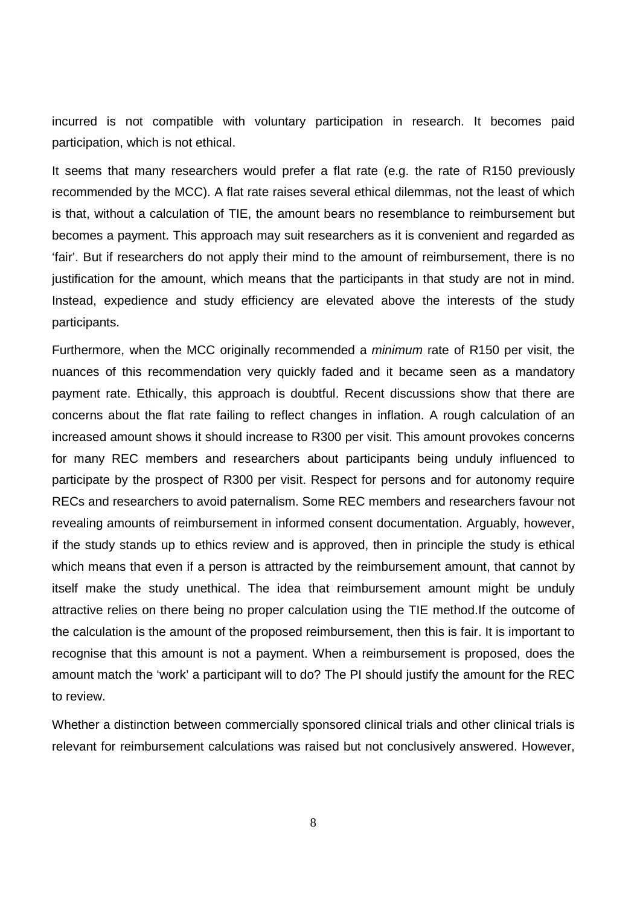incurred is not compatible with voluntary participation in research. It becomes paid participation, which is not ethical.

It seems that many researchers would prefer a flat rate (e.g. the rate of R150 previously recommended by the MCC). A flat rate raises several ethical dilemmas, not the least of which is that, without a calculation of TIE, the amount bears no resemblance to reimbursement but becomes a payment. This approach may suit researchers as it is convenient and regarded as 'fair'. But if researchers do not apply their mind to the amount of reimbursement, there is no justification for the amount, which means that the participants in that study are not in mind. Instead, expedience and study efficiency are elevated above the interests of the study participants.

Furthermore, when the MCC originally recommended a minimum rate of R150 per visit, the nuances of this recommendation very quickly faded and it became seen as a mandatory payment rate. Ethically, this approach is doubtful. Recent discussions show that there are concerns about the flat rate failing to reflect changes in inflation. A rough calculation of an increased amount shows it should increase to R300 per visit. This amount provokes concerns for many REC members and researchers about participants being unduly influenced to participate by the prospect of R300 per visit. Respect for persons and for autonomy require RECs and researchers to avoid paternalism. Some REC members and researchers favour not revealing amounts of reimbursement in informed consent documentation. Arguably, however, if the study stands up to ethics review and is approved, then in principle the study is ethical which means that even if a person is attracted by the reimbursement amount, that cannot by itself make the study unethical. The idea that reimbursement amount might be unduly attractive relies on there being no proper calculation using the TIE method.If the outcome of the calculation is the amount of the proposed reimbursement, then this is fair. It is important to recognise that this amount is not a payment. When a reimbursement is proposed, does the amount match the 'work' a participant will to do? The PI should justify the amount for the REC to review.

Whether a distinction between commercially sponsored clinical trials and other clinical trials is relevant for reimbursement calculations was raised but not conclusively answered. However,

8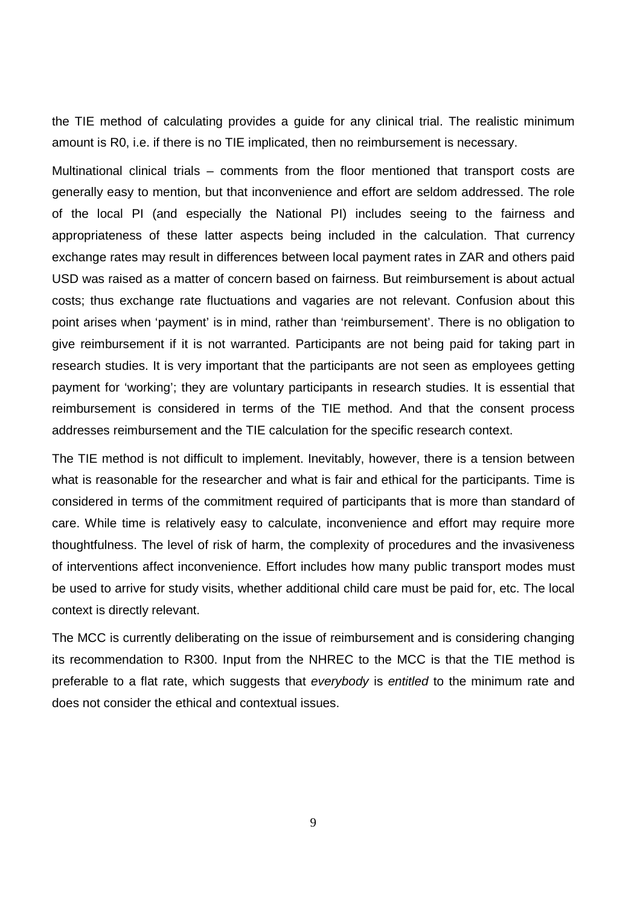the TIE method of calculating provides a guide for any clinical trial. The realistic minimum amount is R0, i.e. if there is no TIE implicated, then no reimbursement is necessary.

Multinational clinical trials – comments from the floor mentioned that transport costs are generally easy to mention, but that inconvenience and effort are seldom addressed. The role of the local PI (and especially the National PI) includes seeing to the fairness and appropriateness of these latter aspects being included in the calculation. That currency exchange rates may result in differences between local payment rates in ZAR and others paid USD was raised as a matter of concern based on fairness. But reimbursement is about actual costs; thus exchange rate fluctuations and vagaries are not relevant. Confusion about this point arises when 'payment' is in mind, rather than 'reimbursement'. There is no obligation to give reimbursement if it is not warranted. Participants are not being paid for taking part in research studies. It is very important that the participants are not seen as employees getting payment for 'working'; they are voluntary participants in research studies. It is essential that reimbursement is considered in terms of the TIE method. And that the consent process addresses reimbursement and the TIE calculation for the specific research context.

The TIE method is not difficult to implement. Inevitably, however, there is a tension between what is reasonable for the researcher and what is fair and ethical for the participants. Time is considered in terms of the commitment required of participants that is more than standard of care. While time is relatively easy to calculate, inconvenience and effort may require more thoughtfulness. The level of risk of harm, the complexity of procedures and the invasiveness of interventions affect inconvenience. Effort includes how many public transport modes must be used to arrive for study visits, whether additional child care must be paid for, etc. The local context is directly relevant.

The MCC is currently deliberating on the issue of reimbursement and is considering changing its recommendation to R300. Input from the NHREC to the MCC is that the TIE method is preferable to a flat rate, which suggests that everybody is entitled to the minimum rate and does not consider the ethical and contextual issues.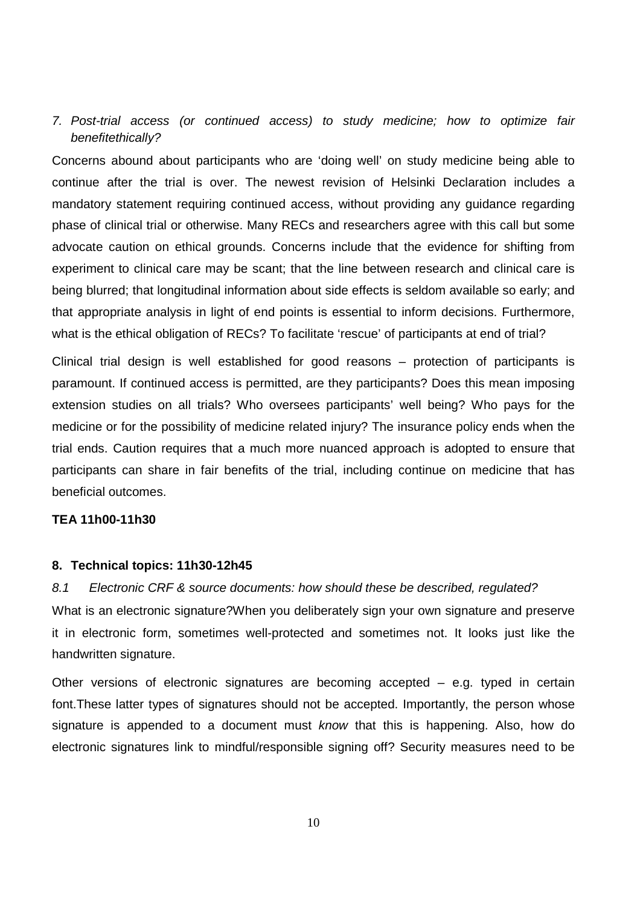## 7. Post-trial access (or continued access) to study medicine; how to optimize fair benefitethically?

Concerns abound about participants who are 'doing well' on study medicine being able to continue after the trial is over. The newest revision of Helsinki Declaration includes a mandatory statement requiring continued access, without providing any guidance regarding phase of clinical trial or otherwise. Many RECs and researchers agree with this call but some advocate caution on ethical grounds. Concerns include that the evidence for shifting from experiment to clinical care may be scant; that the line between research and clinical care is being blurred; that longitudinal information about side effects is seldom available so early; and that appropriate analysis in light of end points is essential to inform decisions. Furthermore, what is the ethical obligation of RECs? To facilitate 'rescue' of participants at end of trial?

Clinical trial design is well established for good reasons – protection of participants is paramount. If continued access is permitted, are they participants? Does this mean imposing extension studies on all trials? Who oversees participants' well being? Who pays for the medicine or for the possibility of medicine related injury? The insurance policy ends when the trial ends. Caution requires that a much more nuanced approach is adopted to ensure that participants can share in fair benefits of the trial, including continue on medicine that has beneficial outcomes.

#### **TEA 11h00-11h30**

#### **8. Technical topics: 11h30-12h45**

8.1 Electronic CRF & source documents: how should these be described, regulated? What is an electronic signature?When you deliberately sign your own signature and preserve it in electronic form, sometimes well-protected and sometimes not. It looks just like the handwritten signature.

Other versions of electronic signatures are becoming accepted – e.g. typed in certain font.These latter types of signatures should not be accepted. Importantly, the person whose signature is appended to a document must know that this is happening. Also, how do electronic signatures link to mindful/responsible signing off? Security measures need to be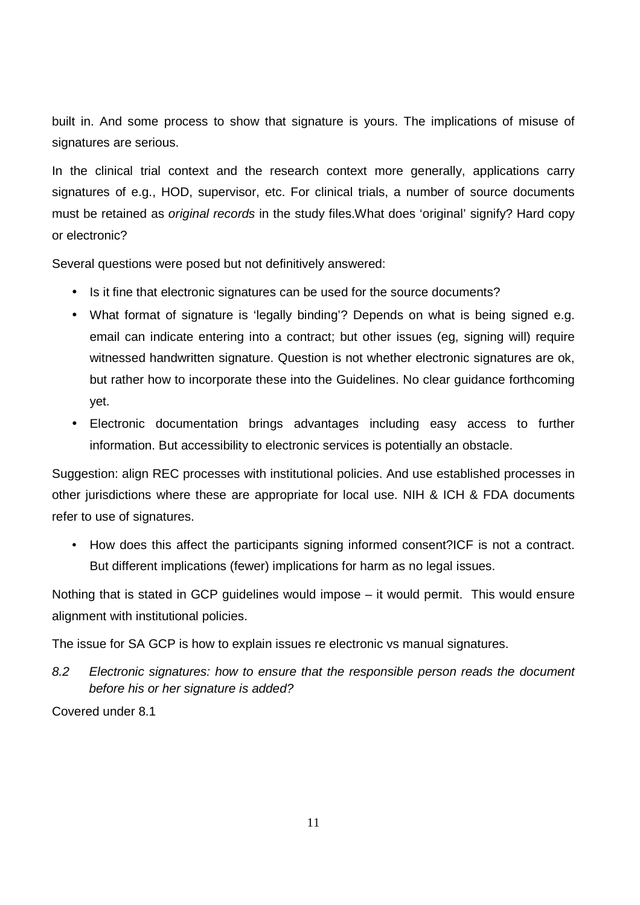built in. And some process to show that signature is yours. The implications of misuse of signatures are serious.

In the clinical trial context and the research context more generally, applications carry signatures of e.g., HOD, supervisor, etc. For clinical trials, a number of source documents must be retained as original records in the study files.What does 'original' signify? Hard copy or electronic?

Several questions were posed but not definitively answered:

- Is it fine that electronic signatures can be used for the source documents?
- What format of signature is 'legally binding'? Depends on what is being signed e.g. email can indicate entering into a contract; but other issues (eg, signing will) require witnessed handwritten signature. Question is not whether electronic signatures are ok, but rather how to incorporate these into the Guidelines. No clear guidance forthcoming yet.
- Electronic documentation brings advantages including easy access to further information. But accessibility to electronic services is potentially an obstacle.

Suggestion: align REC processes with institutional policies. And use established processes in other jurisdictions where these are appropriate for local use. NIH & ICH & FDA documents refer to use of signatures.

• How does this affect the participants signing informed consent?ICF is not a contract. But different implications (fewer) implications for harm as no legal issues.

Nothing that is stated in GCP guidelines would impose – it would permit. This would ensure alignment with institutional policies.

The issue for SA GCP is how to explain issues re electronic vs manual signatures.

8.2 Electronic signatures: how to ensure that the responsible person reads the document before his or her signature is added?

Covered under 8.1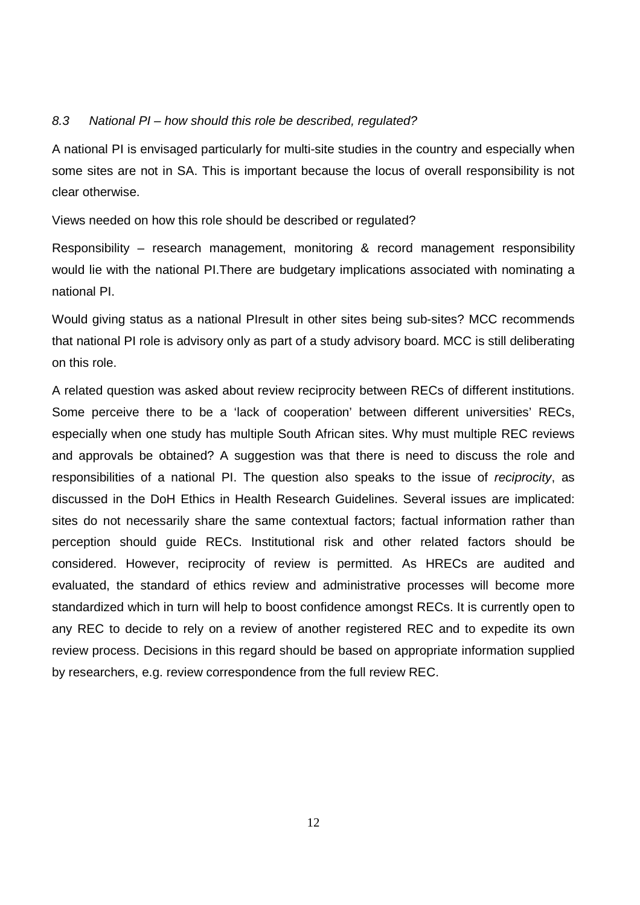#### 8.3 National PI – how should this role be described, regulated?

A national PI is envisaged particularly for multi-site studies in the country and especially when some sites are not in SA. This is important because the locus of overall responsibility is not clear otherwise.

Views needed on how this role should be described or regulated?

Responsibility – research management, monitoring & record management responsibility would lie with the national PI.There are budgetary implications associated with nominating a national PI.

Would giving status as a national PIresult in other sites being sub-sites? MCC recommends that national PI role is advisory only as part of a study advisory board. MCC is still deliberating on this role.

A related question was asked about review reciprocity between RECs of different institutions. Some perceive there to be a 'lack of cooperation' between different universities' RECs, especially when one study has multiple South African sites. Why must multiple REC reviews and approvals be obtained? A suggestion was that there is need to discuss the role and responsibilities of a national PI. The question also speaks to the issue of reciprocity, as discussed in the DoH Ethics in Health Research Guidelines. Several issues are implicated: sites do not necessarily share the same contextual factors; factual information rather than perception should guide RECs. Institutional risk and other related factors should be considered. However, reciprocity of review is permitted. As HRECs are audited and evaluated, the standard of ethics review and administrative processes will become more standardized which in turn will help to boost confidence amongst RECs. It is currently open to any REC to decide to rely on a review of another registered REC and to expedite its own review process. Decisions in this regard should be based on appropriate information supplied by researchers, e.g. review correspondence from the full review REC.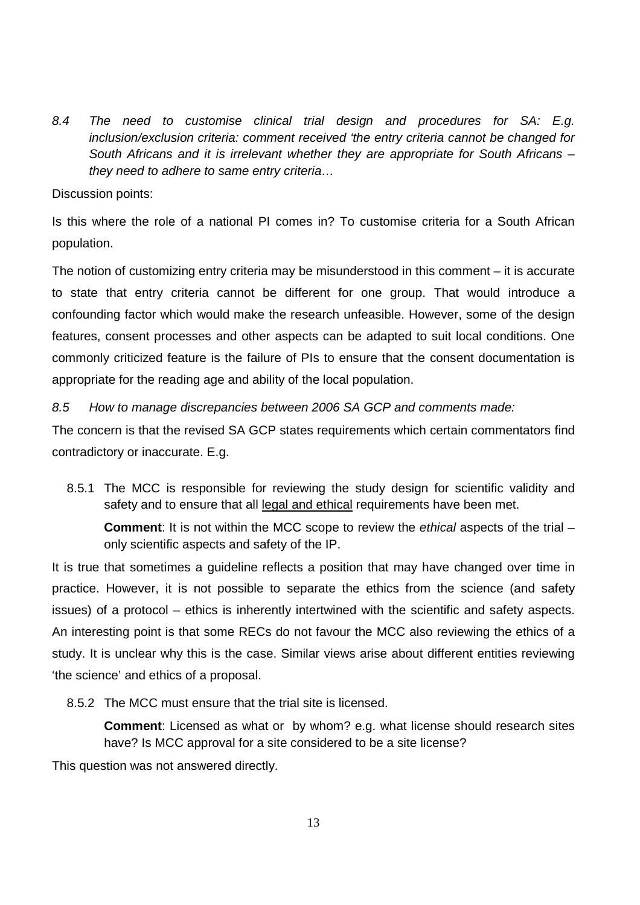8.4 The need to customise clinical trial design and procedures for SA: E.g. inclusion/exclusion criteria: comment received 'the entry criteria cannot be changed for South Africans and it is irrelevant whether they are appropriate for South Africans – they need to adhere to same entry criteria…

#### Discussion points:

Is this where the role of a national PI comes in? To customise criteria for a South African population.

The notion of customizing entry criteria may be misunderstood in this comment – it is accurate to state that entry criteria cannot be different for one group. That would introduce a confounding factor which would make the research unfeasible. However, some of the design features, consent processes and other aspects can be adapted to suit local conditions. One commonly criticized feature is the failure of PIs to ensure that the consent documentation is appropriate for the reading age and ability of the local population.

#### 8.5 How to manage discrepancies between 2006 SA GCP and comments made:

The concern is that the revised SA GCP states requirements which certain commentators find contradictory or inaccurate. E.g.

8.5.1 The MCC is responsible for reviewing the study design for scientific validity and safety and to ensure that all legal and ethical requirements have been met.

**Comment:** It is not within the MCC scope to review the ethical aspects of the trial – only scientific aspects and safety of the IP.

It is true that sometimes a guideline reflects a position that may have changed over time in practice. However, it is not possible to separate the ethics from the science (and safety issues) of a protocol – ethics is inherently intertwined with the scientific and safety aspects. An interesting point is that some RECs do not favour the MCC also reviewing the ethics of a study. It is unclear why this is the case. Similar views arise about different entities reviewing 'the science' and ethics of a proposal.

8.5.2 The MCC must ensure that the trial site is licensed.

**Comment**: Licensed as what or by whom? e.g. what license should research sites have? Is MCC approval for a site considered to be a site license?

This question was not answered directly.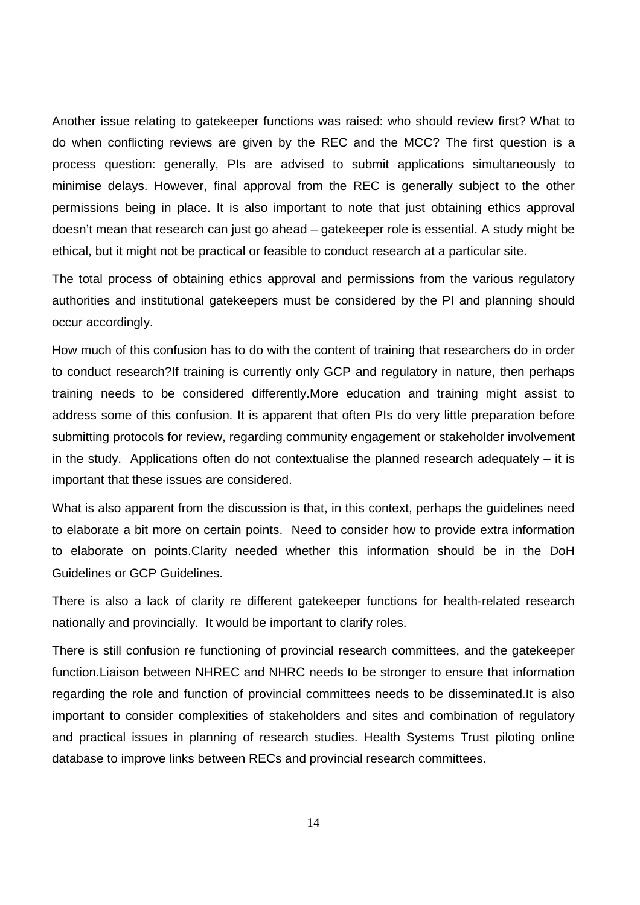Another issue relating to gatekeeper functions was raised: who should review first? What to do when conflicting reviews are given by the REC and the MCC? The first question is a process question: generally, PIs are advised to submit applications simultaneously to minimise delays. However, final approval from the REC is generally subject to the other permissions being in place. It is also important to note that just obtaining ethics approval doesn't mean that research can just go ahead – gatekeeper role is essential. A study might be ethical, but it might not be practical or feasible to conduct research at a particular site.

The total process of obtaining ethics approval and permissions from the various regulatory authorities and institutional gatekeepers must be considered by the PI and planning should occur accordingly.

How much of this confusion has to do with the content of training that researchers do in order to conduct research?If training is currently only GCP and regulatory in nature, then perhaps training needs to be considered differently.More education and training might assist to address some of this confusion. It is apparent that often PIs do very little preparation before submitting protocols for review, regarding community engagement or stakeholder involvement in the study. Applications often do not contextualise the planned research adequately  $-$  it is important that these issues are considered.

What is also apparent from the discussion is that, in this context, perhaps the guidelines need to elaborate a bit more on certain points. Need to consider how to provide extra information to elaborate on points.Clarity needed whether this information should be in the DoH Guidelines or GCP Guidelines.

There is also a lack of clarity re different gatekeeper functions for health-related research nationally and provincially. It would be important to clarify roles.

There is still confusion re functioning of provincial research committees, and the gatekeeper function.Liaison between NHREC and NHRC needs to be stronger to ensure that information regarding the role and function of provincial committees needs to be disseminated.It is also important to consider complexities of stakeholders and sites and combination of regulatory and practical issues in planning of research studies. Health Systems Trust piloting online database to improve links between RECs and provincial research committees.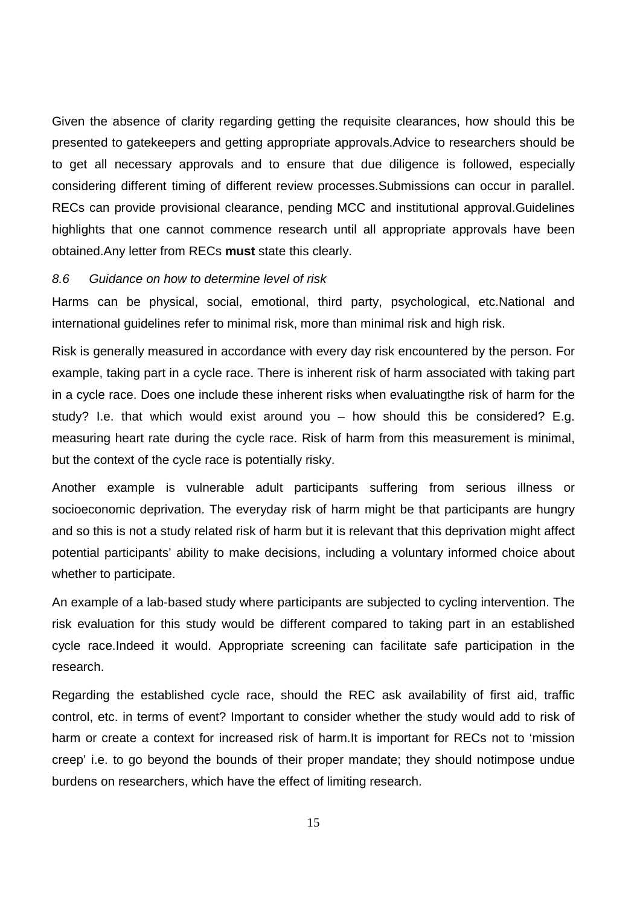Given the absence of clarity regarding getting the requisite clearances, how should this be presented to gatekeepers and getting appropriate approvals.Advice to researchers should be to get all necessary approvals and to ensure that due diligence is followed, especially considering different timing of different review processes.Submissions can occur in parallel. RECs can provide provisional clearance, pending MCC and institutional approval.Guidelines highlights that one cannot commence research until all appropriate approvals have been obtained.Any letter from RECs **must** state this clearly.

#### 8.6 Guidance on how to determine level of risk

Harms can be physical, social, emotional, third party, psychological, etc.National and international guidelines refer to minimal risk, more than minimal risk and high risk.

Risk is generally measured in accordance with every day risk encountered by the person. For example, taking part in a cycle race. There is inherent risk of harm associated with taking part in a cycle race. Does one include these inherent risks when evaluatingthe risk of harm for the study? I.e. that which would exist around you – how should this be considered? E.g. measuring heart rate during the cycle race. Risk of harm from this measurement is minimal, but the context of the cycle race is potentially risky.

Another example is vulnerable adult participants suffering from serious illness or socioeconomic deprivation. The everyday risk of harm might be that participants are hungry and so this is not a study related risk of harm but it is relevant that this deprivation might affect potential participants' ability to make decisions, including a voluntary informed choice about whether to participate.

An example of a lab-based study where participants are subjected to cycling intervention. The risk evaluation for this study would be different compared to taking part in an established cycle race.Indeed it would. Appropriate screening can facilitate safe participation in the research.

Regarding the established cycle race, should the REC ask availability of first aid, traffic control, etc. in terms of event? Important to consider whether the study would add to risk of harm or create a context for increased risk of harm.It is important for RECs not to 'mission creep' i.e. to go beyond the bounds of their proper mandate; they should notimpose undue burdens on researchers, which have the effect of limiting research.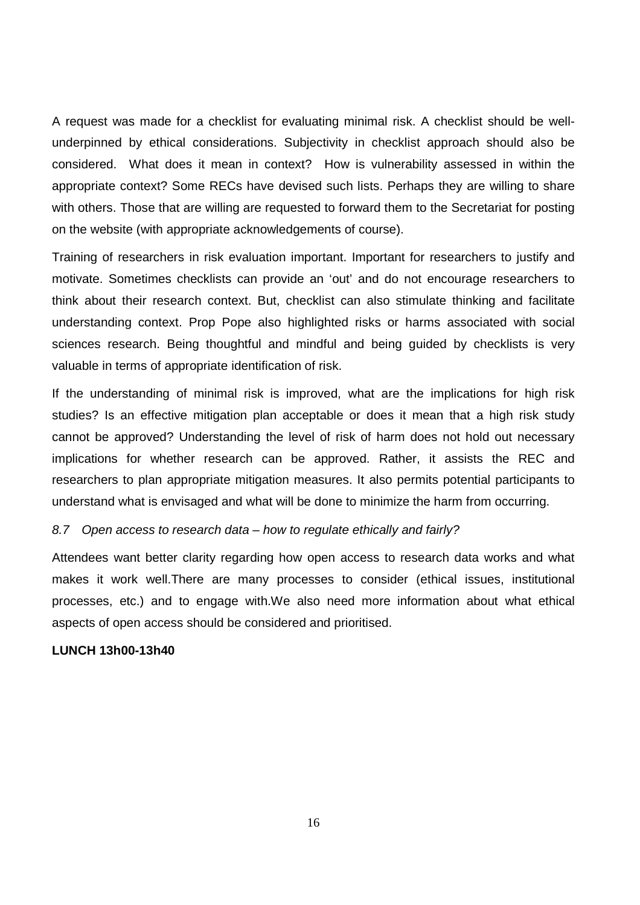A request was made for a checklist for evaluating minimal risk. A checklist should be wellunderpinned by ethical considerations. Subjectivity in checklist approach should also be considered. What does it mean in context? How is vulnerability assessed in within the appropriate context? Some RECs have devised such lists. Perhaps they are willing to share with others. Those that are willing are requested to forward them to the Secretariat for posting on the website (with appropriate acknowledgements of course).

Training of researchers in risk evaluation important. Important for researchers to justify and motivate. Sometimes checklists can provide an 'out' and do not encourage researchers to think about their research context. But, checklist can also stimulate thinking and facilitate understanding context. Prop Pope also highlighted risks or harms associated with social sciences research. Being thoughtful and mindful and being guided by checklists is very valuable in terms of appropriate identification of risk.

If the understanding of minimal risk is improved, what are the implications for high risk studies? Is an effective mitigation plan acceptable or does it mean that a high risk study cannot be approved? Understanding the level of risk of harm does not hold out necessary implications for whether research can be approved. Rather, it assists the REC and researchers to plan appropriate mitigation measures. It also permits potential participants to understand what is envisaged and what will be done to minimize the harm from occurring.

#### 8.7 Open access to research data – how to regulate ethically and fairly?

Attendees want better clarity regarding how open access to research data works and what makes it work well.There are many processes to consider (ethical issues, institutional processes, etc.) and to engage with.We also need more information about what ethical aspects of open access should be considered and prioritised.

#### **LUNCH 13h00-13h40**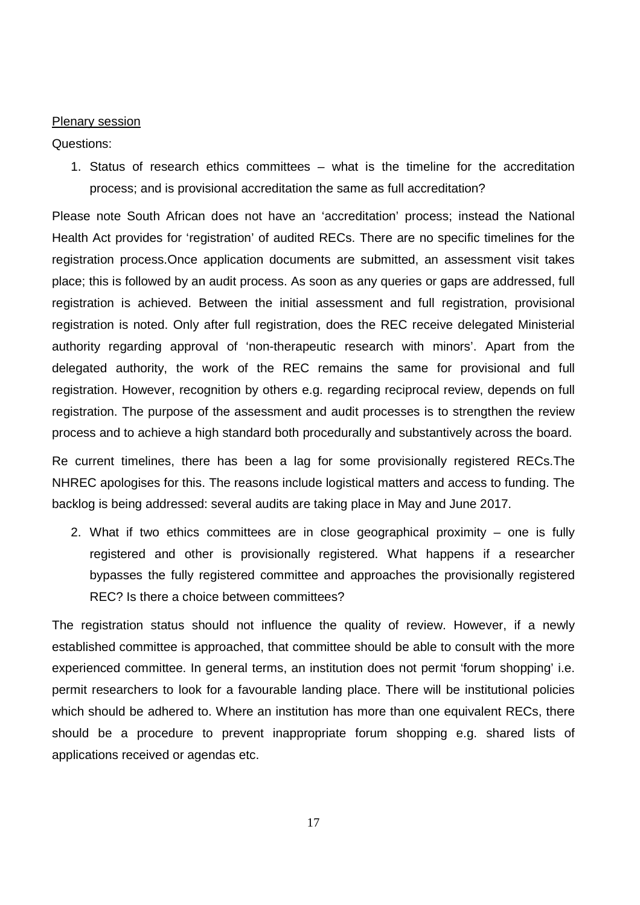#### Plenary session

Questions:

1. Status of research ethics committees – what is the timeline for the accreditation process; and is provisional accreditation the same as full accreditation?

Please note South African does not have an 'accreditation' process; instead the National Health Act provides for 'registration' of audited RECs. There are no specific timelines for the registration process.Once application documents are submitted, an assessment visit takes place; this is followed by an audit process. As soon as any queries or gaps are addressed, full registration is achieved. Between the initial assessment and full registration, provisional registration is noted. Only after full registration, does the REC receive delegated Ministerial authority regarding approval of 'non-therapeutic research with minors'. Apart from the delegated authority, the work of the REC remains the same for provisional and full registration. However, recognition by others e.g. regarding reciprocal review, depends on full registration. The purpose of the assessment and audit processes is to strengthen the review process and to achieve a high standard both procedurally and substantively across the board.

Re current timelines, there has been a lag for some provisionally registered RECs.The NHREC apologises for this. The reasons include logistical matters and access to funding. The backlog is being addressed: several audits are taking place in May and June 2017.

2. What if two ethics committees are in close geographical proximity – one is fully registered and other is provisionally registered. What happens if a researcher bypasses the fully registered committee and approaches the provisionally registered REC? Is there a choice between committees?

The registration status should not influence the quality of review. However, if a newly established committee is approached, that committee should be able to consult with the more experienced committee. In general terms, an institution does not permit 'forum shopping' i.e. permit researchers to look for a favourable landing place. There will be institutional policies which should be adhered to. Where an institution has more than one equivalent RECs, there should be a procedure to prevent inappropriate forum shopping e.g. shared lists of applications received or agendas etc.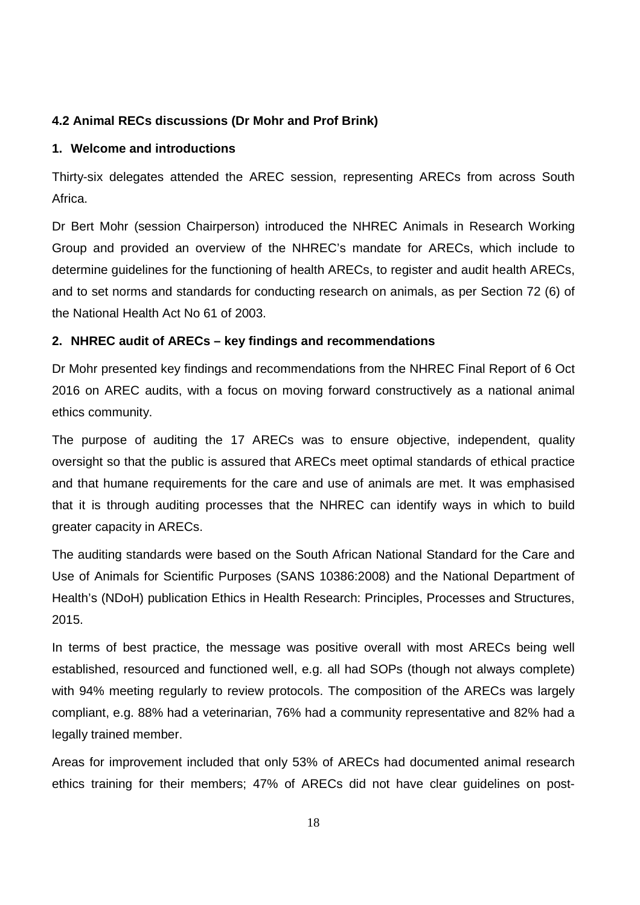## **4.2 Animal RECs discussions (Dr Mohr and Prof Brink)**

### **1. Welcome and introductions**

Thirty-six delegates attended the AREC session, representing ARECs from across South Africa.

Dr Bert Mohr (session Chairperson) introduced the NHREC Animals in Research Working Group and provided an overview of the NHREC's mandate for ARECs, which include to determine guidelines for the functioning of health ARECs, to register and audit health ARECs, and to set norms and standards for conducting research on animals, as per Section 72 (6) of the National Health Act No 61 of 2003.

#### **2. NHREC audit of ARECs – key findings and recommendations**

Dr Mohr presented key findings and recommendations from the NHREC Final Report of 6 Oct 2016 on AREC audits, with a focus on moving forward constructively as a national animal ethics community.

The purpose of auditing the 17 ARECs was to ensure objective, independent, quality oversight so that the public is assured that ARECs meet optimal standards of ethical practice and that humane requirements for the care and use of animals are met. It was emphasised that it is through auditing processes that the NHREC can identify ways in which to build greater capacity in ARECs.

The auditing standards were based on the South African National Standard for the Care and Use of Animals for Scientific Purposes (SANS 10386:2008) and the National Department of Health's (NDoH) publication Ethics in Health Research: Principles, Processes and Structures, 2015.

In terms of best practice, the message was positive overall with most ARECs being well established, resourced and functioned well, e.g. all had SOPs (though not always complete) with 94% meeting regularly to review protocols. The composition of the ARECs was largely compliant, e.g. 88% had a veterinarian, 76% had a community representative and 82% had a legally trained member.

Areas for improvement included that only 53% of ARECs had documented animal research ethics training for their members; 47% of ARECs did not have clear guidelines on post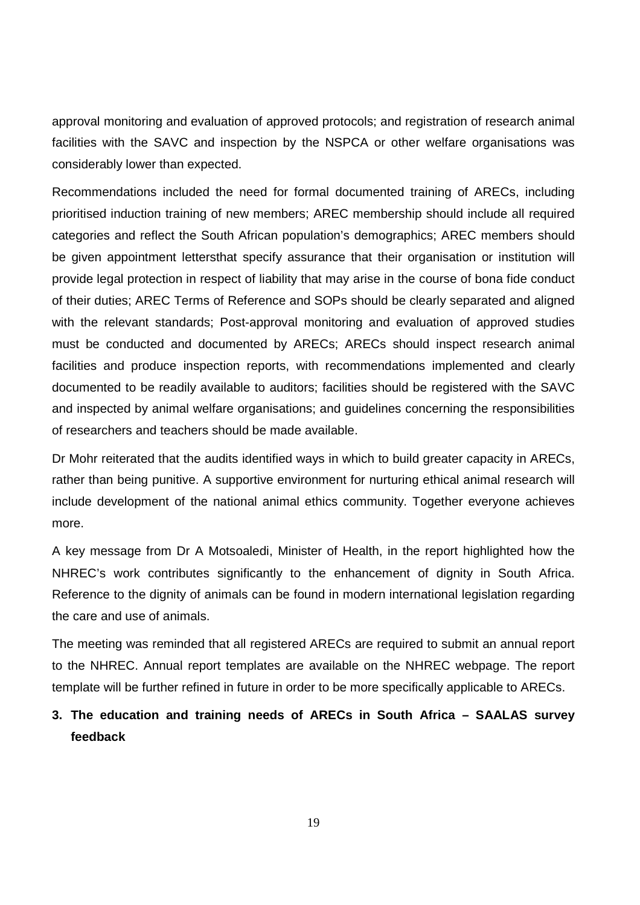approval monitoring and evaluation of approved protocols; and registration of research animal facilities with the SAVC and inspection by the NSPCA or other welfare organisations was considerably lower than expected.

Recommendations included the need for formal documented training of ARECs, including prioritised induction training of new members; AREC membership should include all required categories and reflect the South African population's demographics; AREC members should be given appointment lettersthat specify assurance that their organisation or institution will provide legal protection in respect of liability that may arise in the course of bona fide conduct of their duties; AREC Terms of Reference and SOPs should be clearly separated and aligned with the relevant standards; Post-approval monitoring and evaluation of approved studies must be conducted and documented by ARECs; ARECs should inspect research animal facilities and produce inspection reports, with recommendations implemented and clearly documented to be readily available to auditors; facilities should be registered with the SAVC and inspected by animal welfare organisations; and guidelines concerning the responsibilities of researchers and teachers should be made available.

Dr Mohr reiterated that the audits identified ways in which to build greater capacity in ARECs, rather than being punitive. A supportive environment for nurturing ethical animal research will include development of the national animal ethics community. Together everyone achieves more.

A key message from Dr A Motsoaledi, Minister of Health, in the report highlighted how the NHREC's work contributes significantly to the enhancement of dignity in South Africa. Reference to the dignity of animals can be found in modern international legislation regarding the care and use of animals.

The meeting was reminded that all registered ARECs are required to submit an annual report to the NHREC. Annual report templates are available on the NHREC webpage. The report template will be further refined in future in order to be more specifically applicable to ARECs.

# **3. The education and training needs of ARECs in South Africa – SAALAS survey feedback**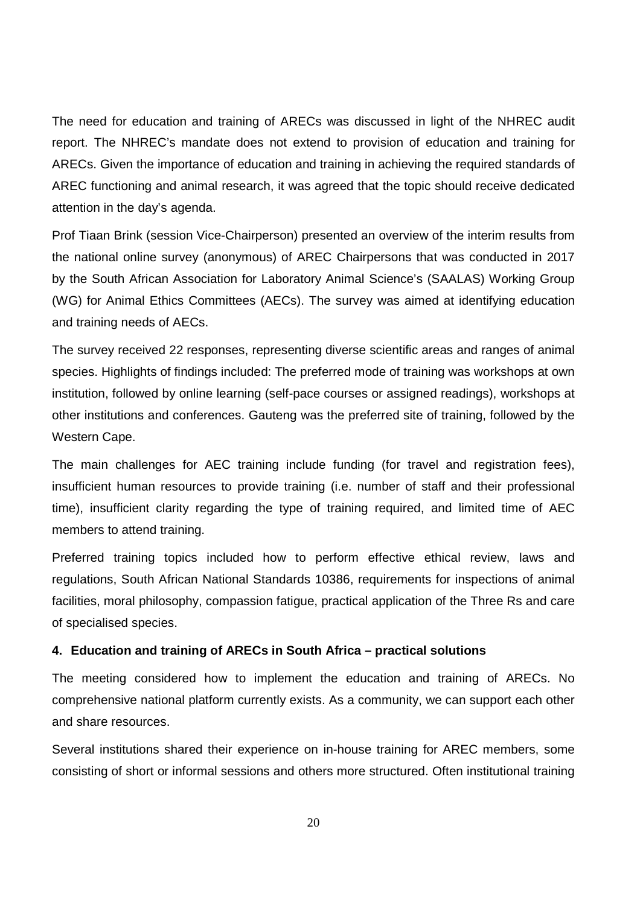The need for education and training of ARECs was discussed in light of the NHREC audit report. The NHREC's mandate does not extend to provision of education and training for ARECs. Given the importance of education and training in achieving the required standards of AREC functioning and animal research, it was agreed that the topic should receive dedicated attention in the day's agenda.

Prof Tiaan Brink (session Vice-Chairperson) presented an overview of the interim results from the national online survey (anonymous) of AREC Chairpersons that was conducted in 2017 by the South African Association for Laboratory Animal Science's (SAALAS) Working Group (WG) for Animal Ethics Committees (AECs). The survey was aimed at identifying education and training needs of AECs.

The survey received 22 responses, representing diverse scientific areas and ranges of animal species. Highlights of findings included: The preferred mode of training was workshops at own institution, followed by online learning (self-pace courses or assigned readings), workshops at other institutions and conferences. Gauteng was the preferred site of training, followed by the Western Cape.

The main challenges for AEC training include funding (for travel and registration fees), insufficient human resources to provide training (i.e. number of staff and their professional time), insufficient clarity regarding the type of training required, and limited time of AEC members to attend training.

Preferred training topics included how to perform effective ethical review, laws and regulations, South African National Standards 10386, requirements for inspections of animal facilities, moral philosophy, compassion fatigue, practical application of the Three Rs and care of specialised species.

#### **4. Education and training of ARECs in South Africa – practical solutions**

The meeting considered how to implement the education and training of ARECs. No comprehensive national platform currently exists. As a community, we can support each other and share resources.

Several institutions shared their experience on in-house training for AREC members, some consisting of short or informal sessions and others more structured. Often institutional training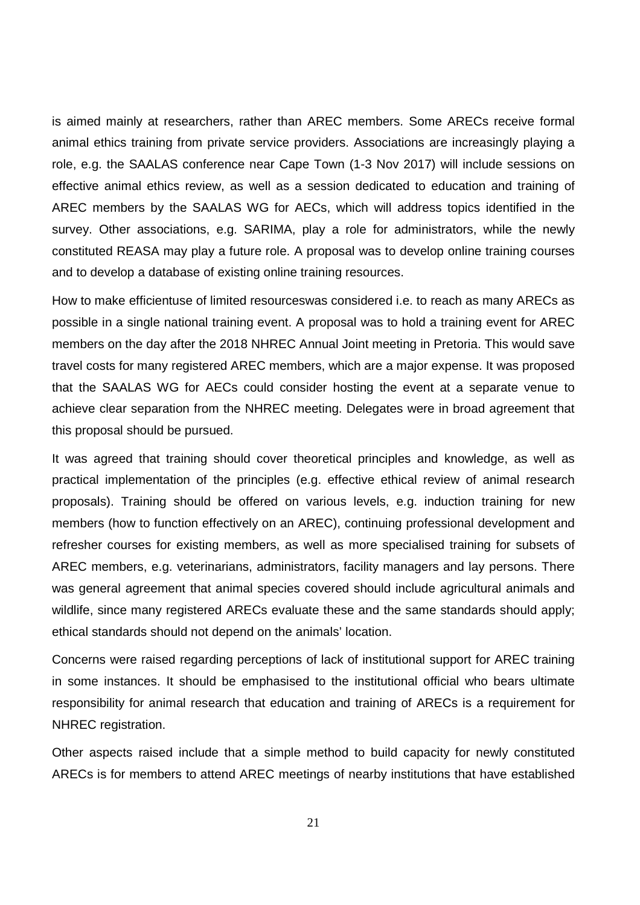is aimed mainly at researchers, rather than AREC members. Some ARECs receive formal animal ethics training from private service providers. Associations are increasingly playing a role, e.g. the SAALAS conference near Cape Town (1-3 Nov 2017) will include sessions on effective animal ethics review, as well as a session dedicated to education and training of AREC members by the SAALAS WG for AECs, which will address topics identified in the survey. Other associations, e.g. SARIMA, play a role for administrators, while the newly constituted REASA may play a future role. A proposal was to develop online training courses and to develop a database of existing online training resources.

How to make efficientuse of limited resourceswas considered i.e. to reach as many ARECs as possible in a single national training event. A proposal was to hold a training event for AREC members on the day after the 2018 NHREC Annual Joint meeting in Pretoria. This would save travel costs for many registered AREC members, which are a major expense. It was proposed that the SAALAS WG for AECs could consider hosting the event at a separate venue to achieve clear separation from the NHREC meeting. Delegates were in broad agreement that this proposal should be pursued.

It was agreed that training should cover theoretical principles and knowledge, as well as practical implementation of the principles (e.g. effective ethical review of animal research proposals). Training should be offered on various levels, e.g. induction training for new members (how to function effectively on an AREC), continuing professional development and refresher courses for existing members, as well as more specialised training for subsets of AREC members, e.g. veterinarians, administrators, facility managers and lay persons. There was general agreement that animal species covered should include agricultural animals and wildlife, since many registered ARECs evaluate these and the same standards should apply; ethical standards should not depend on the animals' location.

Concerns were raised regarding perceptions of lack of institutional support for AREC training in some instances. It should be emphasised to the institutional official who bears ultimate responsibility for animal research that education and training of ARECs is a requirement for NHREC registration.

Other aspects raised include that a simple method to build capacity for newly constituted ARECs is for members to attend AREC meetings of nearby institutions that have established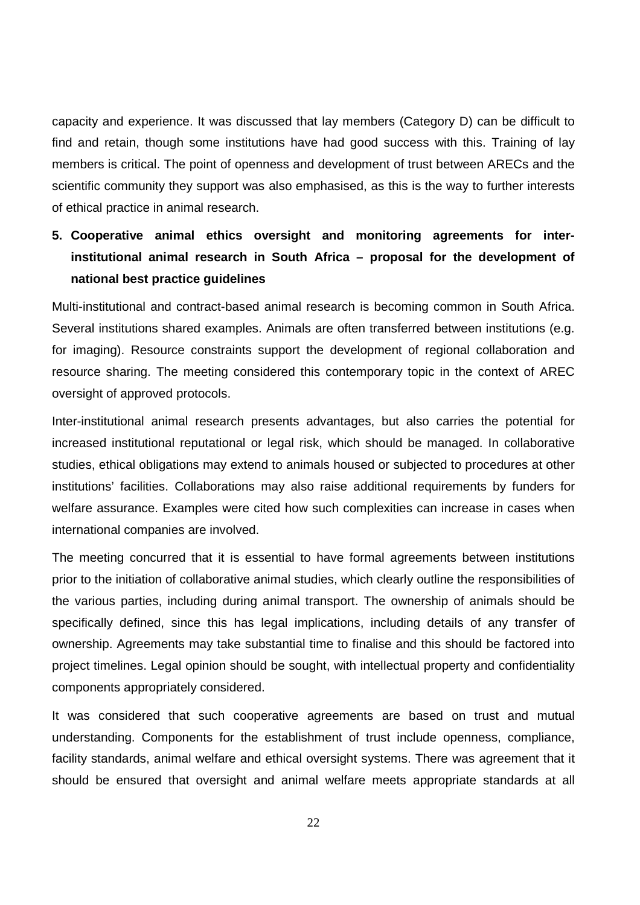capacity and experience. It was discussed that lay members (Category D) can be difficult to find and retain, though some institutions have had good success with this. Training of lay members is critical. The point of openness and development of trust between ARECs and the scientific community they support was also emphasised, as this is the way to further interests of ethical practice in animal research.

# **5. Cooperative animal ethics oversight and monitoring agreements for interinstitutional animal research in South Africa – proposal for the development of national best practice guidelines**

Multi-institutional and contract-based animal research is becoming common in South Africa. Several institutions shared examples. Animals are often transferred between institutions (e.g. for imaging). Resource constraints support the development of regional collaboration and resource sharing. The meeting considered this contemporary topic in the context of AREC oversight of approved protocols.

Inter-institutional animal research presents advantages, but also carries the potential for increased institutional reputational or legal risk, which should be managed. In collaborative studies, ethical obligations may extend to animals housed or subjected to procedures at other institutions' facilities. Collaborations may also raise additional requirements by funders for welfare assurance. Examples were cited how such complexities can increase in cases when international companies are involved.

The meeting concurred that it is essential to have formal agreements between institutions prior to the initiation of collaborative animal studies, which clearly outline the responsibilities of the various parties, including during animal transport. The ownership of animals should be specifically defined, since this has legal implications, including details of any transfer of ownership. Agreements may take substantial time to finalise and this should be factored into project timelines. Legal opinion should be sought, with intellectual property and confidentiality components appropriately considered.

It was considered that such cooperative agreements are based on trust and mutual understanding. Components for the establishment of trust include openness, compliance, facility standards, animal welfare and ethical oversight systems. There was agreement that it should be ensured that oversight and animal welfare meets appropriate standards at all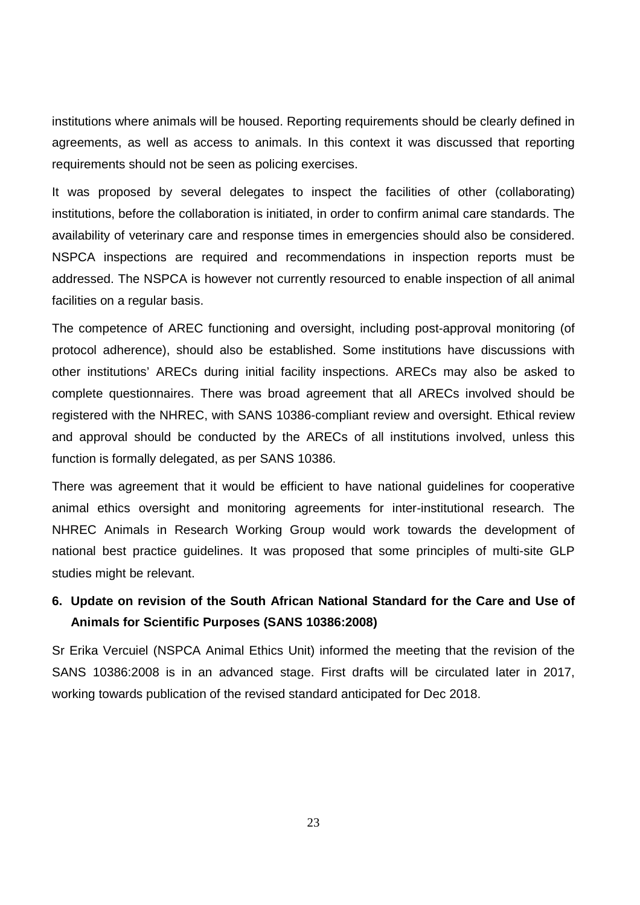institutions where animals will be housed. Reporting requirements should be clearly defined in agreements, as well as access to animals. In this context it was discussed that reporting requirements should not be seen as policing exercises.

It was proposed by several delegates to inspect the facilities of other (collaborating) institutions, before the collaboration is initiated, in order to confirm animal care standards. The availability of veterinary care and response times in emergencies should also be considered. NSPCA inspections are required and recommendations in inspection reports must be addressed. The NSPCA is however not currently resourced to enable inspection of all animal facilities on a regular basis.

The competence of AREC functioning and oversight, including post-approval monitoring (of protocol adherence), should also be established. Some institutions have discussions with other institutions' ARECs during initial facility inspections. ARECs may also be asked to complete questionnaires. There was broad agreement that all ARECs involved should be registered with the NHREC, with SANS 10386-compliant review and oversight. Ethical review and approval should be conducted by the ARECs of all institutions involved, unless this function is formally delegated, as per SANS 10386.

There was agreement that it would be efficient to have national guidelines for cooperative animal ethics oversight and monitoring agreements for inter-institutional research. The NHREC Animals in Research Working Group would work towards the development of national best practice guidelines. It was proposed that some principles of multi-site GLP studies might be relevant.

## **6. Update on revision of the South African National Standard for the Care and Use of Animals for Scientific Purposes (SANS 10386:2008)**

Sr Erika Vercuiel (NSPCA Animal Ethics Unit) informed the meeting that the revision of the SANS 10386:2008 is in an advanced stage. First drafts will be circulated later in 2017, working towards publication of the revised standard anticipated for Dec 2018.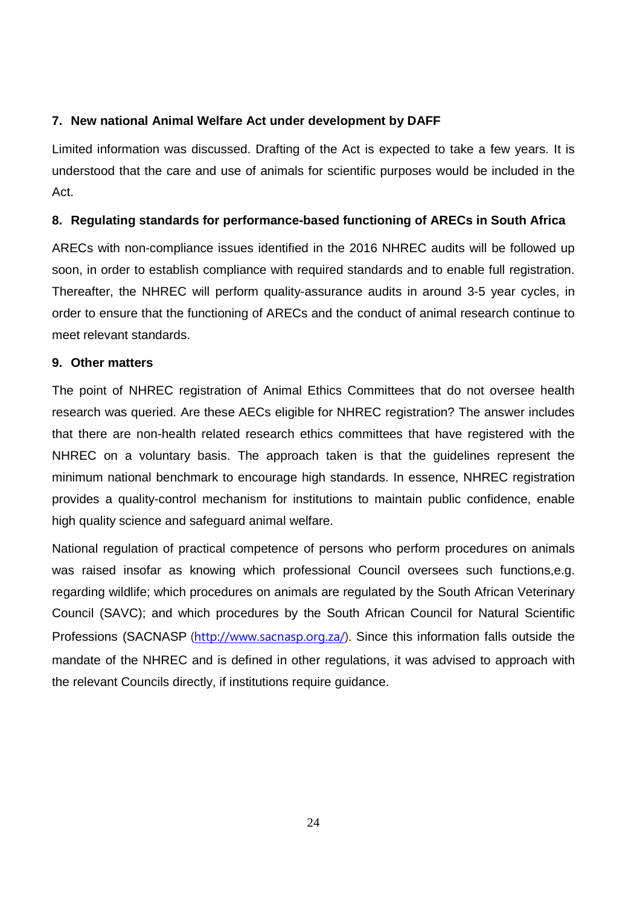## **7. New national Animal Welfare Act under development by DAFF**

Limited information was discussed. Drafting of the Act is expected to take a few years. It is understood that the care and use of animals for scientific purposes would be included in the Act.

## **8. Regulating standards for performance-based functioning of ARECs in South Africa**

ARECs with non-compliance issues identified in the 2016 NHREC audits will be followed up soon, in order to establish compliance with required standards and to enable full registration. Thereafter, the NHREC will perform quality-assurance audits in around 3-5 year cycles, in order to ensure that the functioning of ARECs and the conduct of animal research continue to meet relevant standards.

#### **9. Other matters**

The point of NHREC registration of Animal Ethics Committees that do not oversee health research was queried. Are these AECs eligible for NHREC registration? The answer includes that there are non-health related research ethics committees that have registered with the NHREC on a voluntary basis. The approach taken is that the guidelines represent the minimum national benchmark to encourage high standards. In essence, NHREC registration provides a quality-control mechanism for institutions to maintain public confidence, enable high quality science and safeguard animal welfare.

National regulation of practical competence of persons who perform procedures on animals was raised insofar as knowing which professional Council oversees such functions,e.g. regarding wildlife; which procedures on animals are regulated by the South African Veterinary Council (SAVC); and which procedures by the South African Council for Natural Scientific Professions (SACNASP (http://www.sacnasp.org.za/). Since this information falls outside the mandate of the NHREC and is defined in other regulations, it was advised to approach with the relevant Councils directly, if institutions require guidance.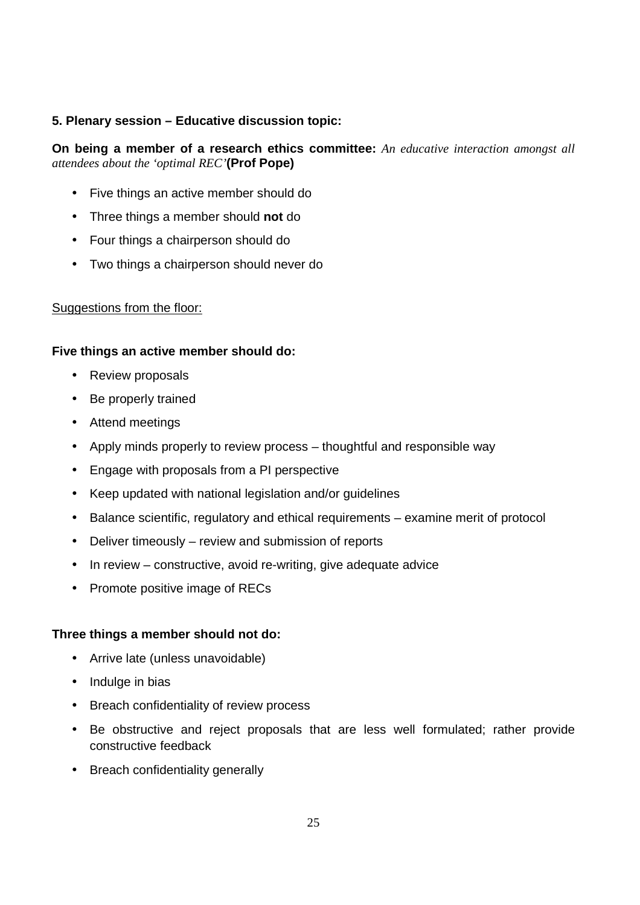## **5. Plenary session – Educative discussion topic:**

**On being a member of a research ethics committee:** *An educative interaction amongst all attendees about the 'optimal REC'***(Prof Pope)** 

- Five things an active member should do
- Three things a member should **not** do
- Four things a chairperson should do
- Two things a chairperson should never do

#### Suggestions from the floor:

#### **Five things an active member should do:**

- Review proposals
- Be properly trained
- Attend meetings
- Apply minds properly to review process thoughtful and responsible way
- Engage with proposals from a PI perspective
- Keep updated with national legislation and/or guidelines
- Balance scientific, regulatory and ethical requirements examine merit of protocol
- Deliver timeously review and submission of reports
- In review constructive, avoid re-writing, give adequate advice
- Promote positive image of RECs

#### **Three things a member should not do:**

- Arrive late (unless unavoidable)
- Indulge in bias
- Breach confidentiality of review process
- Be obstructive and reject proposals that are less well formulated; rather provide constructive feedback
- Breach confidentiality generally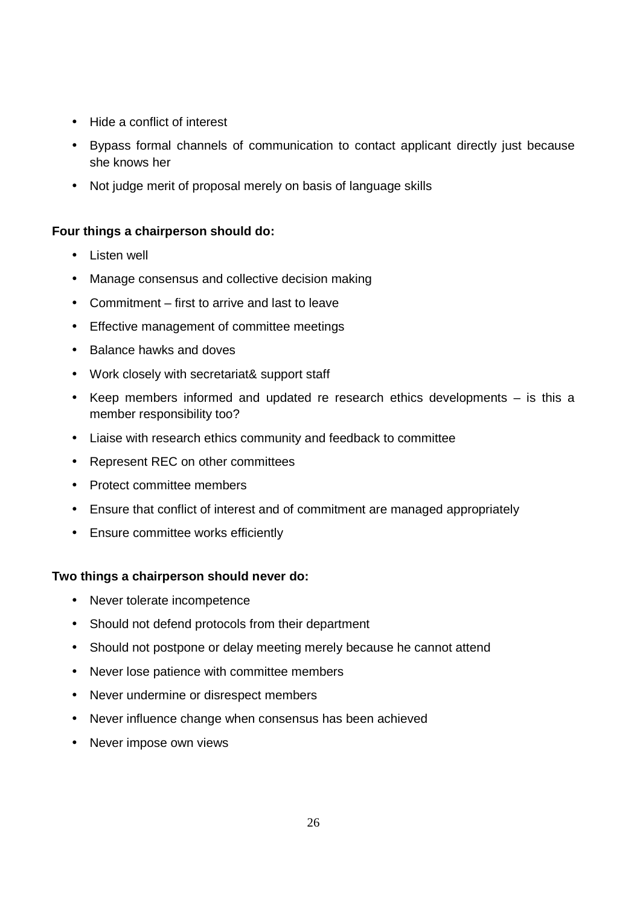- Hide a conflict of interest
- Bypass formal channels of communication to contact applicant directly just because she knows her
- Not judge merit of proposal merely on basis of language skills

## **Four things a chairperson should do:**

- Listen well
- Manage consensus and collective decision making
- Commitment first to arrive and last to leave
- Effective management of committee meetings
- Balance hawks and doves
- Work closely with secretariat& support staff
- Keep members informed and updated re research ethics developments is this a member responsibility too?
- Liaise with research ethics community and feedback to committee
- Represent REC on other committees
- Protect committee members
- Ensure that conflict of interest and of commitment are managed appropriately
- Ensure committee works efficiently

## **Two things a chairperson should never do:**

- Never tolerate incompetence
- Should not defend protocols from their department
- Should not postpone or delay meeting merely because he cannot attend
- Never lose patience with committee members
- Never undermine or disrespect members
- Never influence change when consensus has been achieved
- Never impose own views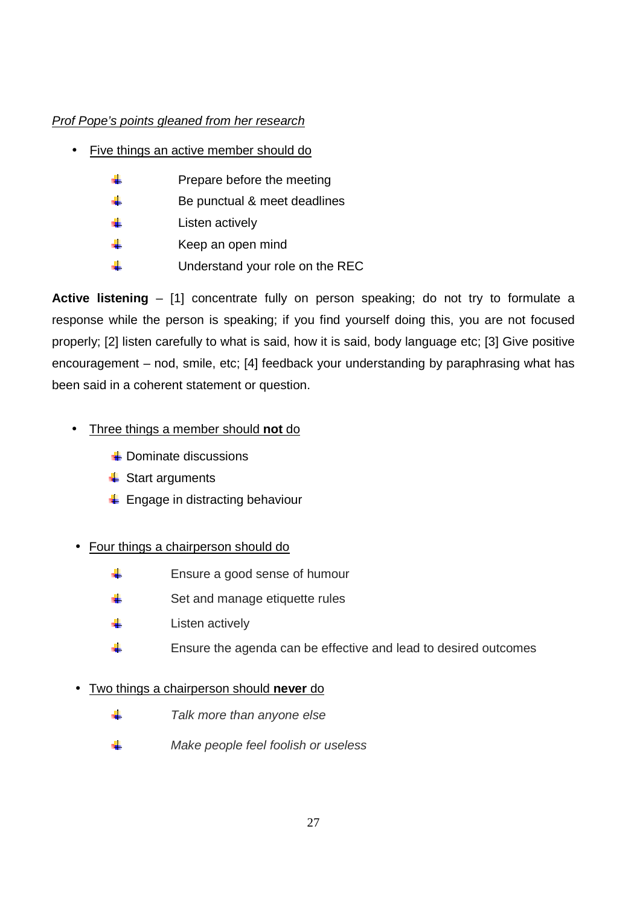## Prof Pope's points gleaned from her research

- Five things an active member should do
	- $\frac{1}{2}$  Prepare before the meeting
	- $\frac{1}{2}$  Be punctual & meet deadlines
	- $\frac{1}{2}$  Listen actively
	- $\frac{1}{\sqrt{1-\frac{1}{\sqrt{1-\frac{1}{\sqrt{1-\frac{1}{\sqrt{1-\frac{1}{\sqrt{1-\frac{1}{\sqrt{1-\frac{1}{\sqrt{1-\frac{1}{\sqrt{1-\frac{1}{\sqrt{1-\frac{1}{\sqrt{1-\frac{1}{\sqrt{1-\frac{1}{\sqrt{1-\frac{1}{\sqrt{1-\frac{1}{\sqrt{1-\frac{1}{\sqrt{1-\frac{1}{\sqrt{1-\frac{1}{\sqrt{1-\frac{1}{\sqrt{1-\frac{1}{\sqrt{1-\frac{1}{\sqrt{1-\frac{1}{\sqrt{1-\frac{1}{\sqrt{1-\frac{1}{\sqrt{1-\frac{1}{\sqrt{1-\frac{1$
	- $\frac{1}{2}$  Understand your role on the REC

**Active listening** – [1] concentrate fully on person speaking; do not try to formulate a response while the person is speaking; if you find yourself doing this, you are not focused properly; [2] listen carefully to what is said, how it is said, body language etc; [3] Give positive encouragement – nod, smile, etc; [4] feedback your understanding by paraphrasing what has been said in a coherent statement or question.

- Three things a member should **not** do
	- $\frac{1}{2}$  Dominate discussions
	- $\ddot{\bullet}$  Start arguments
	- $\triangleq$  Engage in distracting behaviour

## • Four things a chairperson should do

- Ensure a good sense of humour
- $\frac{1}{2}$  Set and manage etiquette rules
- $\frac{1}{\sqrt{2}}$  Listen actively
- $\frac{1}{2}$  Ensure the agenda can be effective and lead to desired outcomes

## • Two things a chairperson should **never** do

- d. Talk more than anyone else
- d. Make people feel foolish or useless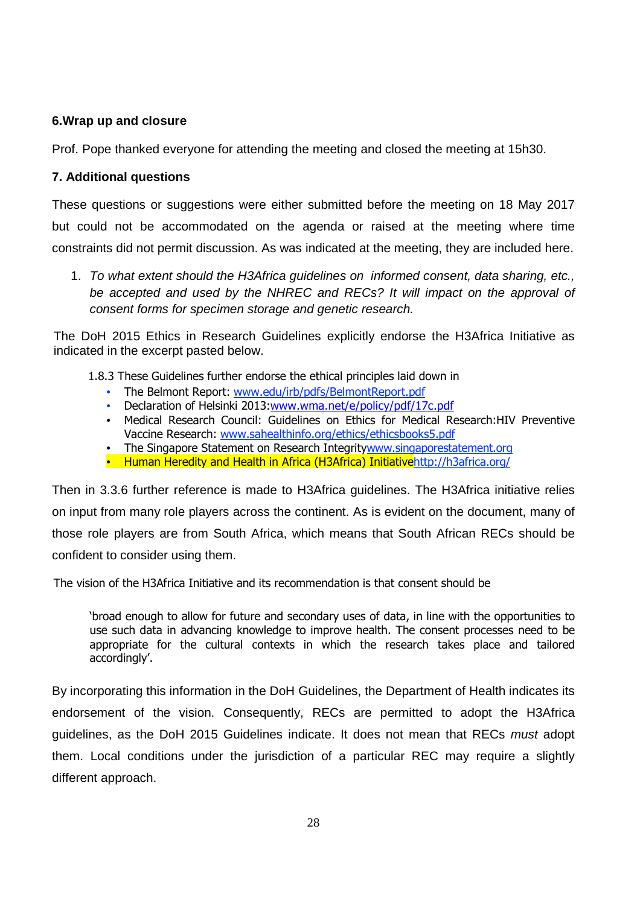## **6.Wrap up and closure**

Prof. Pope thanked everyone for attending the meeting and closed the meeting at 15h30.

### **7. Additional questions**

These questions or suggestions were either submitted before the meeting on 18 May 2017 but could not be accommodated on the agenda or raised at the meeting where time constraints did not permit discussion. As was indicated at the meeting, they are included here.

1. To what extent should the H3Africa guidelines on informed consent, data sharing, etc., be accepted and used by the NHREC and RECs? It will impact on the approval of consent forms for specimen storage and genetic research.

The DoH 2015 Ethics in Research Guidelines explicitly endorse the H3Africa Initiative as indicated in the excerpt pasted below.

1.8.3 These Guidelines further endorse the ethical principles laid down in

- The Belmont Report: www.edu/irb/pdfs/BelmontReport.pdf
- Declaration of Helsinki 2013:www.wma.net/e/policy/pdf/17c.pdf
- Medical Research Council: Guidelines on Ethics for Medical Research:HIV Preventive Vaccine Research: www.sahealthinfo.org/ethics/ethicsbooks5.pdf
- The Singapore Statement on Research Integritywww.singaporestatement.org
- Human Heredity and Health in Africa (H3Africa) Initiativehttp://h3africa.org/

Then in 3.3.6 further reference is made to H3Africa guidelines. The H3Africa initiative relies on input from many role players across the continent. As is evident on the document, many of those role players are from South Africa, which means that South African RECs should be confident to consider using them.

The vision of the H3Africa Initiative and its recommendation is that consent should be

'broad enough to allow for future and secondary uses of data, in line with the opportunities to use such data in advancing knowledge to improve health. The consent processes need to be appropriate for the cultural contexts in which the research takes place and tailored accordingly'.

By incorporating this information in the DoH Guidelines, the Department of Health indicates its endorsement of the vision. Consequently, RECs are permitted to adopt the H3Africa guidelines, as the DoH 2015 Guidelines indicate. It does not mean that RECs must adopt them. Local conditions under the jurisdiction of a particular REC may require a slightly different approach.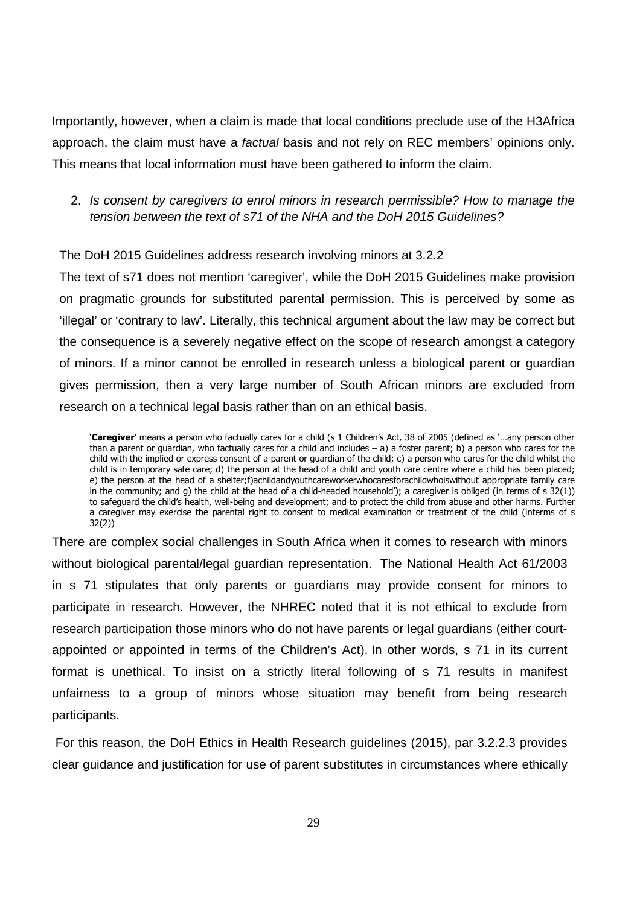Importantly, however, when a claim is made that local conditions preclude use of the H3Africa approach, the claim must have a factual basis and not rely on REC members' opinions only. This means that local information must have been gathered to inform the claim.

## 2. Is consent by caregivers to enrol minors in research permissible? How to manage the tension between the text of s71 of the NHA and the DoH 2015 Guidelines?

The DoH 2015 Guidelines address research involving minors at 3.2.2

The text of s71 does not mention 'caregiver', while the DoH 2015 Guidelines make provision on pragmatic grounds for substituted parental permission. This is perceived by some as 'illegal' or 'contrary to law'. Literally, this technical argument about the law may be correct but the consequence is a severely negative effect on the scope of research amongst a category of minors. If a minor cannot be enrolled in research unless a biological parent or guardian gives permission, then a very large number of South African minors are excluded from research on a technical legal basis rather than on an ethical basis.

'**Caregiver**' means a person who factually cares for a child (s 1 Children's Act, 38 of 2005 (defined as '…any person other than a parent or guardian, who factually cares for a child and includes – a) a foster parent; b) a person who cares for the child with the implied or express consent of a parent or guardian of the child; c) a person who cares for the child whilst the child is in temporary safe care; d) the person at the head of a child and youth care centre where a child has been placed; e) the person at the head of a shelter;f)achildandyouthcareworkerwhocaresforachildwhoiswithout appropriate family care in the community; and g) the child at the head of a child-headed household'); a caregiver is obliged (in terms of s 32(1)) to safeguard the child's health, well-being and development; and to protect the child from abuse and other harms. Further a caregiver may exercise the parental right to consent to medical examination or treatment of the child (interms of s 32(2))

There are complex social challenges in South Africa when it comes to research with minors without biological parental/legal guardian representation. The National Health Act 61/2003 in s 71 stipulates that only parents or guardians may provide consent for minors to participate in research. However, the NHREC noted that it is not ethical to exclude from research participation those minors who do not have parents or legal guardians (either courtappointed or appointed in terms of the Children's Act). In other words, s 71 in its current format is unethical. To insist on a strictly literal following of s 71 results in manifest unfairness to a group of minors whose situation may benefit from being research participants.

 For this reason, the DoH Ethics in Health Research guidelines (2015), par 3.2.2.3 provides clear guidance and justification for use of parent substitutes in circumstances where ethically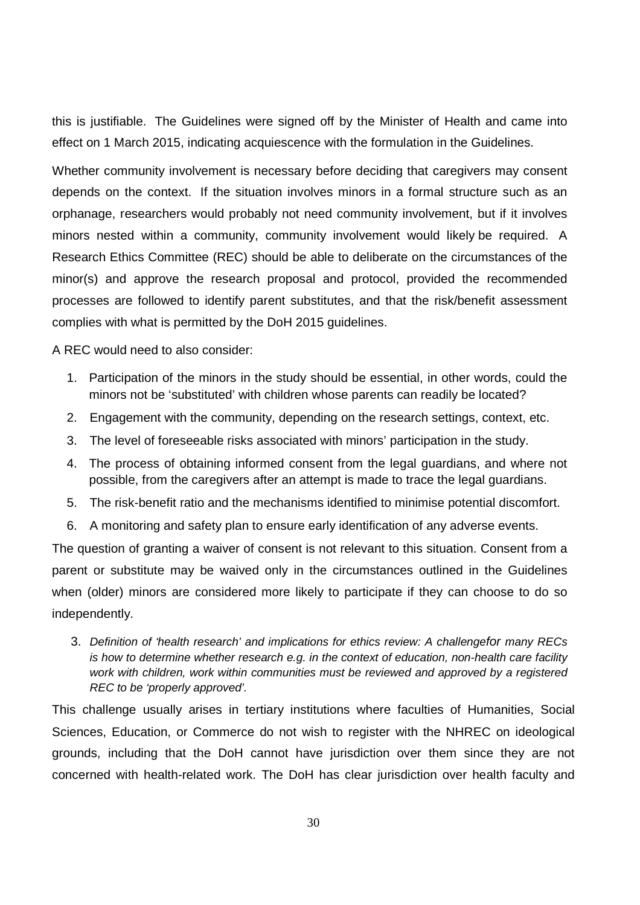this is justifiable. The Guidelines were signed off by the Minister of Health and came into effect on 1 March 2015, indicating acquiescence with the formulation in the Guidelines.

Whether community involvement is necessary before deciding that caregivers may consent depends on the context. If the situation involves minors in a formal structure such as an orphanage, researchers would probably not need community involvement, but if it involves minors nested within a community, community involvement would likely be required. A Research Ethics Committee (REC) should be able to deliberate on the circumstances of the minor(s) and approve the research proposal and protocol, provided the recommended processes are followed to identify parent substitutes, and that the risk/benefit assessment complies with what is permitted by the DoH 2015 guidelines.

A REC would need to also consider:

- 1. Participation of the minors in the study should be essential, in other words, could the minors not be 'substituted' with children whose parents can readily be located?
- 2. Engagement with the community, depending on the research settings, context, etc.
- 3. The level of foreseeable risks associated with minors' participation in the study.
- 4. The process of obtaining informed consent from the legal guardians, and where not possible, from the caregivers after an attempt is made to trace the legal guardians.
- 5. The risk-benefit ratio and the mechanisms identified to minimise potential discomfort.
- 6. A monitoring and safety plan to ensure early identification of any adverse events.

The question of granting a waiver of consent is not relevant to this situation. Consent from a parent or substitute may be waived only in the circumstances outlined in the Guidelines when (older) minors are considered more likely to participate if they can choose to do so independently.

3. Definition of 'health research' and implications for ethics review: A challengefor many RECs is how to determine whether research e.g. in the context of education, non-health care facility work with children, work within communities must be reviewed and approved by a registered REC to be 'properly approved'.

This challenge usually arises in tertiary institutions where faculties of Humanities, Social Sciences, Education, or Commerce do not wish to register with the NHREC on ideological grounds, including that the DoH cannot have jurisdiction over them since they are not concerned with health-related work. The DoH has clear jurisdiction over health faculty and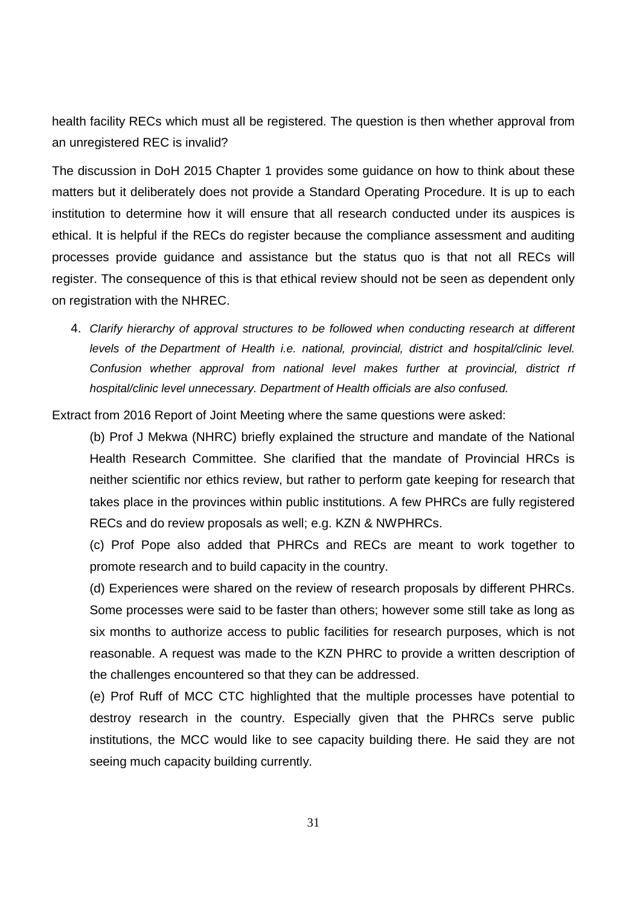health facility RECs which must all be registered. The question is then whether approval from an unregistered REC is invalid?

The discussion in DoH 2015 Chapter 1 provides some guidance on how to think about these matters but it deliberately does not provide a Standard Operating Procedure. It is up to each institution to determine how it will ensure that all research conducted under its auspices is ethical. It is helpful if the RECs do register because the compliance assessment and auditing processes provide guidance and assistance but the status quo is that not all RECs will register. The consequence of this is that ethical review should not be seen as dependent only on registration with the NHREC.

4. Clarify hierarchy of approval structures to be followed when conducting research at different levels of the Department of Health i.e. national, provincial, district and hospital/clinic level. Confusion whether approval from national level makes further at provincial, district rf hospital/clinic level unnecessary. Department of Health officials are also confused.

Extract from 2016 Report of Joint Meeting where the same questions were asked:

(b) Prof J Mekwa (NHRC) briefly explained the structure and mandate of the National Health Research Committee. She clarified that the mandate of Provincial HRCs is neither scientific nor ethics review, but rather to perform gate keeping for research that takes place in the provinces within public institutions. A few PHRCs are fully registered RECs and do review proposals as well; e.g. KZN & NWPHRCs.

(c) Prof Pope also added that PHRCs and RECs are meant to work together to promote research and to build capacity in the country.

(d) Experiences were shared on the review of research proposals by different PHRCs. Some processes were said to be faster than others; however some still take as long as six months to authorize access to public facilities for research purposes, which is not reasonable. A request was made to the KZN PHRC to provide a written description of the challenges encountered so that they can be addressed.

(e) Prof Ruff of MCC CTC highlighted that the multiple processes have potential to destroy research in the country. Especially given that the PHRCs serve public institutions, the MCC would like to see capacity building there. He said they are not seeing much capacity building currently.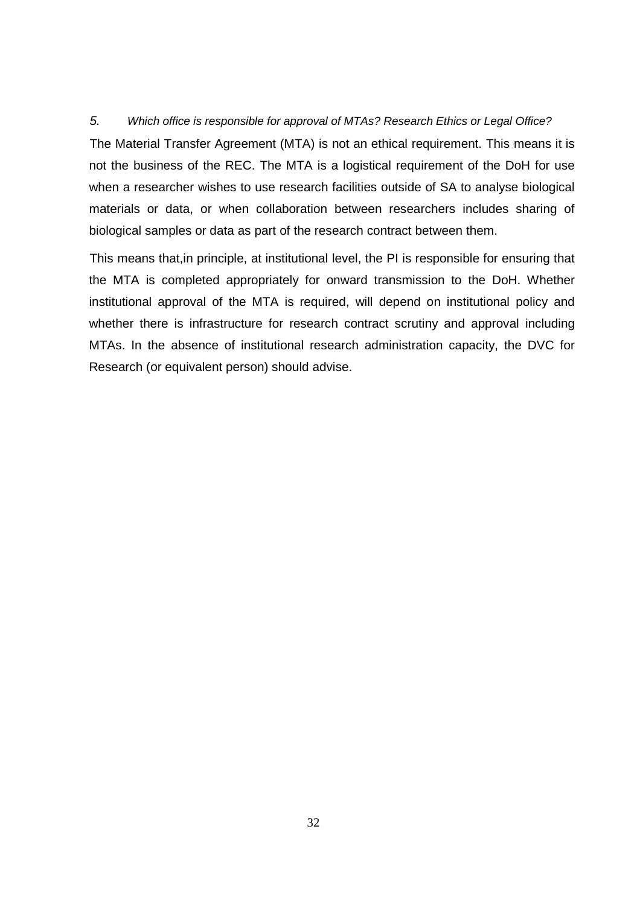#### 5. Which office is responsible for approval of MTAs? Research Ethics or Legal Office?

The Material Transfer Agreement (MTA) is not an ethical requirement. This means it is not the business of the REC. The MTA is a logistical requirement of the DoH for use when a researcher wishes to use research facilities outside of SA to analyse biological materials or data, or when collaboration between researchers includes sharing of biological samples or data as part of the research contract between them.

This means that,in principle, at institutional level, the PI is responsible for ensuring that the MTA is completed appropriately for onward transmission to the DoH. Whether institutional approval of the MTA is required, will depend on institutional policy and whether there is infrastructure for research contract scrutiny and approval including MTAs. In the absence of institutional research administration capacity, the DVC for Research (or equivalent person) should advise.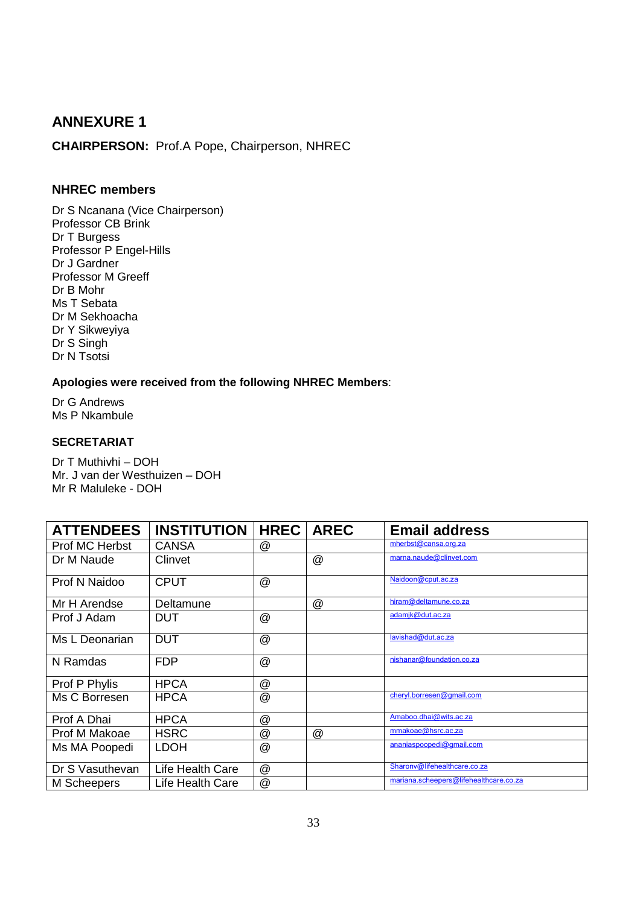## **ANNEXURE 1**

**CHAIRPERSON:** Prof.A Pope, Chairperson, NHREC

#### **NHREC members**

Dr S Ncanana (Vice Chairperson) Professor CB Brink Dr T Burgess Professor P Engel-Hills Dr J Gardner Professor M Greeff Dr B Mohr Ms T Sebata Dr M Sekhoacha Dr Y Sikweyiya Dr S Singh Dr N Tsotsi

**Apologies were received from the following NHREC Members**:

Dr G Andrews Ms P Nkambule

#### **SECRETARIAT**

Dr T Muthivhi – DOH Mr. J van der Westhuizen – DOH Mr R Maluleke - DOH

| <b>ATTENDEES</b> | <b>INSTITUTION</b> | <b>HREC</b>    | <b>AREC</b>    | <b>Email address</b>                   |
|------------------|--------------------|----------------|----------------|----------------------------------------|
| Prof MC Herbst   | <b>CANSA</b>       | @              |                | mherbst@cansa.org.za                   |
| Dr M Naude       | Clinvet            |                | $^{\circledR}$ | marna.naude@clinvet.com                |
| Prof N Naidoo    | <b>CPUT</b>        | $^{\circledR}$ |                | Naidoon@cput.ac.za                     |
| Mr H Arendse     | Deltamune          |                | $^{\circledR}$ | hiram@deltamune.co.za                  |
| Prof J Adam      | <b>DUT</b>         | @              |                | adamjk@dut.ac.za                       |
| Ms L Deonarian   | <b>DUT</b>         | $^{\circledR}$ |                | lavishad@dut.ac.za                     |
| N Ramdas         | <b>FDP</b>         | @              |                | nishanar@foundation.co.za              |
| Prof P Phylis    | <b>HPCA</b>        | @              |                |                                        |
| Ms C Borresen    | <b>HPCA</b>        | @              |                | cheryl.borresen@gmail.com              |
| Prof A Dhai      | <b>HPCA</b>        | @              |                | Amaboo.dhai@wits.ac.za                 |
| Prof M Makoae    | <b>HSRC</b>        | @              | $^{\circledR}$ | mmakoae@hsrc.ac.za                     |
| Ms MA Poopedi    | <b>LDOH</b>        | @              |                | ananiaspoopedi@gmail.com               |
| Dr S Vasuthevan  | Life Health Care   | @              |                | Sharonv@lifehealthcare.co.za           |
| M Scheepers      | Life Health Care   | @              |                | mariana.scheepers@lifehealthcare.co.za |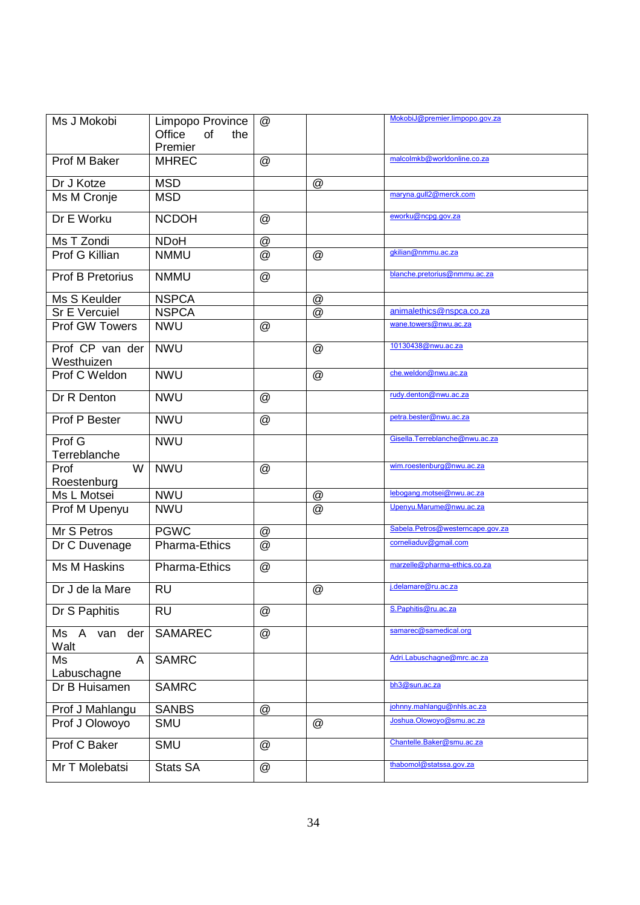| Ms J Mokobi              | Limpopo Province    | $^{\circledR}$            |                 | MokobiJ@premier.limpopo.gov.za   |
|--------------------------|---------------------|---------------------------|-----------------|----------------------------------|
|                          | Office<br>of<br>the |                           |                 |                                  |
|                          | Premier             |                           |                 | malcolmkb@worldonline.co.za      |
| Prof M Baker             | <b>MHREC</b>        | @                         |                 |                                  |
| Dr J Kotze               | <b>MSD</b>          |                           | $^{\circledR}$  |                                  |
| Ms M Cronje              | <b>MSD</b>          |                           |                 | maryna.gull2@merck.com           |
| Dr E Worku               | <b>NCDOH</b>        | @                         |                 | eworku@ncpg.gov.za               |
| Ms T Zondi               | <b>NDoH</b>         | $^{\copyright}$           |                 |                                  |
| Prof G Killian           | <b>NMMU</b>         | @                         | @               | gkilian@nmmu.ac.za               |
| <b>Prof B Pretorius</b>  | <b>NMMU</b>         | @                         |                 | blanche.pretorius@nmmu.ac.za     |
| Ms S Keulder             | <b>NSPCA</b>        |                           | $^{\copyright}$ |                                  |
| <b>Sr E Vercuiel</b>     | <b>NSPCA</b>        |                           | @               | animalethics@nspca.co.za         |
| <b>Prof GW Towers</b>    | <b>NWU</b>          | @                         |                 | wane.towers@nwu.ac.za            |
| Prof CP van der          | <b>NWU</b>          |                           | $^{\circledR}$  | 10130438@nwu.ac.za               |
| Westhuizen               |                     |                           |                 |                                  |
| Prof C Weldon            | <b>NWU</b>          |                           | $^{\circledR}$  | che.weldon@nwu.ac.za             |
| Dr R Denton              | <b>NWU</b>          | @                         |                 | rudy.denton@nwu.ac.za            |
| Prof P Bester            | <b>NWU</b>          | @                         |                 | petra.bester@nwu.ac.za           |
| Prof G                   | <b>NWU</b>          |                           |                 | Gisella. Terreblanche@nwu.ac.za  |
| Terreblanche             |                     |                           |                 |                                  |
| W<br>Prof<br>Roestenburg | <b>NWU</b>          | @                         |                 | wim.roestenburg@nwu.ac.za        |
| Ms L Motsei              | <b>NWU</b>          |                           | @               | lebogang.motsei@nwu.ac.za        |
| Prof M Upenyu            | <b>NWU</b>          |                           | @               | Upenyu.Marume@nwu.ac.za          |
|                          |                     |                           |                 | Sabela.Petros@westerncape.gov.za |
| Mr S Petros              | <b>PGWC</b>         | @                         |                 |                                  |
| Dr C Duvenage            | Pharma-Ethics       | @                         |                 | corneliaduv@gmail.com            |
| Ms M Haskins             | Pharma-Ethics       | @                         |                 | marzelle@pharma-ethics.co.za     |
| Dr J de la Mare          | <b>RU</b>           |                           | $^{\circledR}$  | j.delamare@ru.ac.za              |
| Dr S Paphitis            | <b>RU</b>           | $^{\circledR}$            |                 | S.Paphitis@ru.ac.za              |
| Ms A van<br>der<br>Walt  | <b>SAMAREC</b>      | $^\text{\textregistered}$ |                 | samarec@samedical.org            |
| Ms<br>A<br>Labuschagne   | <b>SAMRC</b>        |                           |                 | Adri.Labuschagne@mrc.ac.za       |
| Dr B Huisamen            | <b>SAMRC</b>        |                           |                 | bh3@sun.ac.za                    |
| Prof J Mahlangu          | <b>SANBS</b>        | @                         |                 | johnny.mahlangu@nhls.ac.za       |
| Prof J Olowoyo           | <b>SMU</b>          |                           | $^{\circledR}$  | Joshua.Olowoyo@smu.ac.za         |
| Prof C Baker             | <b>SMU</b>          | $^{\copyright}$           |                 | Chantelle.Baker@smu.ac.za        |
|                          |                     |                           |                 | thabomol@statssa.gov.za          |
| Mr T Molebatsi           | <b>Stats SA</b>     | @                         |                 |                                  |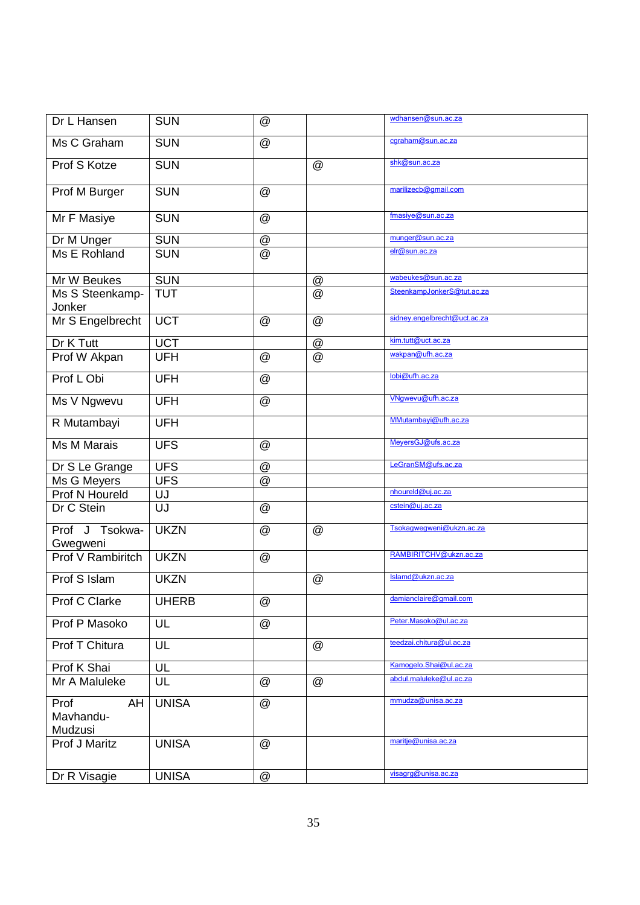| Dr L Hansen                        | <b>SUN</b>     | $^{\copyright}$           |                 | wdhansen@sun.ac.za           |
|------------------------------------|----------------|---------------------------|-----------------|------------------------------|
| Ms C Graham                        | <b>SUN</b>     | $^{\copyright}$           |                 | cgraham@sun.ac.za            |
| Prof S Kotze                       | <b>SUN</b>     |                           | $^{\circledR}$  | shk@sun.ac.za                |
| Prof M Burger                      | <b>SUN</b>     | $^{\copyright}$           |                 | marilizecb@gmail.com         |
| Mr F Masiye                        | <b>SUN</b>     | $^\copyright$             |                 | fmasiye@sun.ac.za            |
| Dr M Unger                         | <b>SUN</b>     | $^{\circledR}$            |                 | munger@sun.ac.za             |
| Ms E Rohland                       | <b>SUN</b>     | @                         |                 | elr@sun.ac.za                |
| Mr W Beukes                        | <b>SUN</b>     |                           | $^{\copyright}$ | wabeukes@sun.ac.za           |
| Ms S Steenkamp-<br>Jonker          | <b>TUT</b>     |                           | $^{\circledR}$  | SteenkampJonkerS@tut.ac.za   |
| Mr S Engelbrecht                   | <b>UCT</b>     | $^{\copyright}$           | $^{\circledR}$  | sidney.engelbrecht@uct.ac.za |
| Dr K Tutt                          | <b>UCT</b>     |                           | $^{\copyright}$ | kim.tutt@uct.ac.za           |
| Prof W Akpan                       | <b>UFH</b>     | $^{\copyright}$           | $^{\circledR}$  | wakpan@ufh.ac.za             |
| Prof L Obi                         | <b>UFH</b>     | $^\copyright$             |                 | lobi@ufh.ac.za               |
| Ms V Ngwevu                        | <b>UFH</b>     | $^\copyright$             |                 | VNgwevu@ufh.ac.za            |
| R Mutambayi                        | <b>UFH</b>     |                           |                 | MMutambayi@ufh.ac.za         |
| Ms M Marais                        | <b>UFS</b>     | @                         |                 | MeyersGJ@ufs.ac.za           |
| Dr S Le Grange                     | <b>UFS</b>     | $^\copyright$             |                 | LeGranSM@ufs.ac.za           |
| Ms G Meyers                        | <b>UFS</b>     | $^\text{\textregistered}$ |                 |                              |
| Prof N Houreld                     | UJ             |                           |                 | nhoureId@uj.ac.za            |
| Dr C Stein                         | $\overline{U}$ | $^\copyright$             |                 | cstein@uj.ac.za              |
| Prof J Tsokwa-<br>Gwegweni         | <b>UKZN</b>    | @                         | @               | Tsokagwegweni@ukzn.ac.za     |
| <b>Prof V Rambiritch</b>           | <b>UKZN</b>    | $^{\copyright}$           |                 | RAMBIRITCHV@ukzn.ac.za       |
| Prof S Islam                       | <b>UKZN</b>    |                           | $^{\circledR}$  | Islamd@ukzn.ac.za            |
| Prof C Clarke                      | <b>UHERB</b>   | @                         |                 | damianclaire@gmail.com       |
| Prof P Masoko                      | UL             | $^\copyright$             |                 | Peter.Masoko@ul.ac.za        |
| Prof T Chitura                     | UL             |                           | $^{\copyright}$ | teedzai.chitura@ul.ac.za     |
| Prof K Shai                        | UL             |                           |                 | Kamogelo.Shai@ul.ac.za       |
| Mr A Maluleke                      | UL             | $^\copyright$             | $^{\copyright}$ | abdul.maluleke@ul.ac.za      |
| Prof<br>AH<br>Mavhandu-<br>Mudzusi | <b>UNISA</b>   | @                         |                 | mmudza@unisa.ac.za           |
| Prof J Maritz                      | <b>UNISA</b>   | $^{\copyright}$           |                 | maritje@unisa.ac.za          |
| Dr R Visagie                       | <b>UNISA</b>   | $^\copyright$             |                 | visagrg@unisa.ac.za          |